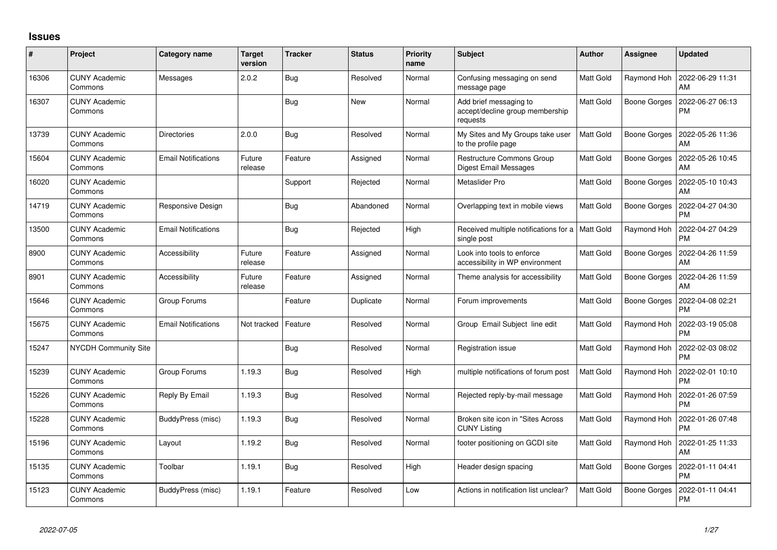## **Issues**

| #     | Project                         | <b>Category name</b>       | <b>Target</b><br>version | <b>Tracker</b> | <b>Status</b> | <b>Priority</b><br>name | <b>Subject</b>                                                        | <b>Author</b>    | Assignee            | <b>Updated</b>                |
|-------|---------------------------------|----------------------------|--------------------------|----------------|---------------|-------------------------|-----------------------------------------------------------------------|------------------|---------------------|-------------------------------|
| 16306 | <b>CUNY Academic</b><br>Commons | Messages                   | 2.0.2                    | Bug            | Resolved      | Normal                  | Confusing messaging on send<br>message page                           | <b>Matt Gold</b> | Raymond Hoh         | 2022-06-29 11:31<br>AM        |
| 16307 | <b>CUNY Academic</b><br>Commons |                            |                          | <b>Bug</b>     | New           | Normal                  | Add brief messaging to<br>accept/decline group membership<br>requests | Matt Gold        | Boone Gorges        | 2022-06-27 06:13<br><b>PM</b> |
| 13739 | <b>CUNY Academic</b><br>Commons | Directories                | 2.0.0                    | Bug            | Resolved      | Normal                  | My Sites and My Groups take user<br>to the profile page               | <b>Matt Gold</b> | <b>Boone Gorges</b> | 2022-05-26 11:36<br>AM        |
| 15604 | <b>CUNY Academic</b><br>Commons | <b>Email Notifications</b> | Future<br>release        | Feature        | Assigned      | Normal                  | Restructure Commons Group<br><b>Digest Email Messages</b>             | Matt Gold        | <b>Boone Gorges</b> | 2022-05-26 10:45<br>AM        |
| 16020 | <b>CUNY Academic</b><br>Commons |                            |                          | Support        | Rejected      | Normal                  | Metaslider Pro                                                        | <b>Matt Gold</b> | Boone Gorges        | 2022-05-10 10:43<br>AM        |
| 14719 | <b>CUNY Academic</b><br>Commons | Responsive Design          |                          | Bug            | Abandoned     | Normal                  | Overlapping text in mobile views                                      | Matt Gold        | Boone Gorges        | 2022-04-27 04:30<br><b>PM</b> |
| 13500 | <b>CUNY Academic</b><br>Commons | <b>Email Notifications</b> |                          | Bug            | Rejected      | High                    | Received multiple notifications for a   Matt Gold<br>single post      |                  | Raymond Hoh         | 2022-04-27 04:29<br><b>PM</b> |
| 8900  | <b>CUNY Academic</b><br>Commons | Accessibility              | Future<br>release        | Feature        | Assigned      | Normal                  | Look into tools to enforce<br>accessibility in WP environment         | Matt Gold        | Boone Gorges        | 2022-04-26 11:59<br>AM        |
| 8901  | <b>CUNY Academic</b><br>Commons | Accessibility              | Future<br>release        | Feature        | Assigned      | Normal                  | Theme analysis for accessibility                                      | Matt Gold        | Boone Gorges        | 2022-04-26 11:59<br>AM        |
| 15646 | <b>CUNY Academic</b><br>Commons | Group Forums               |                          | Feature        | Duplicate     | Normal                  | Forum improvements                                                    | <b>Matt Gold</b> | <b>Boone Gorges</b> | 2022-04-08 02:21<br><b>PM</b> |
| 15675 | <b>CUNY Academic</b><br>Commons | <b>Email Notifications</b> | Not tracked              | Feature        | Resolved      | Normal                  | Group Email Subject line edit                                         | <b>Matt Gold</b> | Raymond Hoh         | 2022-03-19 05:08<br><b>PM</b> |
| 15247 | NYCDH Community Site            |                            |                          | Bug            | Resolved      | Normal                  | Registration issue                                                    | <b>Matt Gold</b> | Raymond Hoh         | 2022-02-03 08:02<br><b>PM</b> |
| 15239 | <b>CUNY Academic</b><br>Commons | Group Forums               | 1.19.3                   | Bug            | Resolved      | High                    | multiple notifications of forum post                                  | Matt Gold        | Raymond Hoh         | 2022-02-01 10:10<br><b>PM</b> |
| 15226 | <b>CUNY Academic</b><br>Commons | Reply By Email             | 1.19.3                   | Bug            | Resolved      | Normal                  | Rejected reply-by-mail message                                        | <b>Matt Gold</b> | Raymond Hoh         | 2022-01-26 07:59<br><b>PM</b> |
| 15228 | <b>CUNY Academic</b><br>Commons | BuddyPress (misc)          | 1.19.3                   | <b>Bug</b>     | Resolved      | Normal                  | Broken site icon in "Sites Across<br><b>CUNY Listing</b>              | Matt Gold        | Raymond Hoh         | 2022-01-26 07:48<br><b>PM</b> |
| 15196 | <b>CUNY Academic</b><br>Commons | Layout                     | 1.19.2                   | Bug            | Resolved      | Normal                  | footer positioning on GCDI site                                       | Matt Gold        | Raymond Hoh         | 2022-01-25 11:33<br>AM        |
| 15135 | <b>CUNY Academic</b><br>Commons | Toolbar                    | 1.19.1                   | Bug            | Resolved      | High                    | Header design spacing                                                 | <b>Matt Gold</b> | <b>Boone Gorges</b> | 2022-01-11 04:41<br>PM        |
| 15123 | CUNY Academic<br>Commons        | BuddyPress (misc)          | 1.19.1                   | Feature        | Resolved      | Low                     | Actions in notification list unclear?                                 | <b>Matt Gold</b> | <b>Boone Gorges</b> | 2022-01-11 04:41<br><b>PM</b> |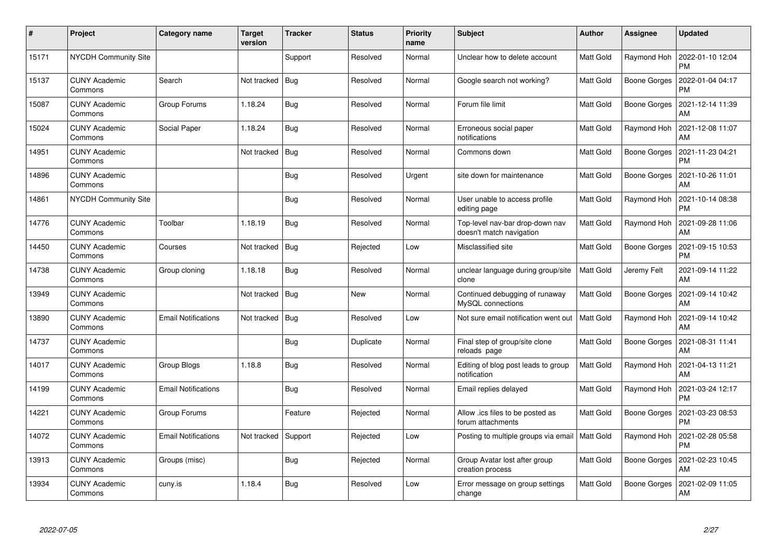| $\pmb{\sharp}$ | Project                         | <b>Category name</b>       | <b>Target</b><br>version | <b>Tracker</b> | <b>Status</b> | <b>Priority</b><br>name | <b>Subject</b>                                              | <b>Author</b>    | <b>Assignee</b>     | <b>Updated</b>                |
|----------------|---------------------------------|----------------------------|--------------------------|----------------|---------------|-------------------------|-------------------------------------------------------------|------------------|---------------------|-------------------------------|
| 15171          | <b>NYCDH Community Site</b>     |                            |                          | Support        | Resolved      | Normal                  | Unclear how to delete account                               | <b>Matt Gold</b> | Raymond Hoh         | 2022-01-10 12:04<br><b>PM</b> |
| 15137          | <b>CUNY Academic</b><br>Commons | Search                     | Not tracked              | <b>Bug</b>     | Resolved      | Normal                  | Google search not working?                                  | Matt Gold        | Boone Gorges        | 2022-01-04 04:17<br><b>PM</b> |
| 15087          | <b>CUNY Academic</b><br>Commons | Group Forums               | 1.18.24                  | <b>Bug</b>     | Resolved      | Normal                  | Forum file limit                                            | <b>Matt Gold</b> | <b>Boone Gorges</b> | 2021-12-14 11:39<br>AM        |
| 15024          | <b>CUNY Academic</b><br>Commons | Social Paper               | 1.18.24                  | Bug            | Resolved      | Normal                  | Erroneous social paper<br>notifications                     | Matt Gold        | Raymond Hoh         | 2021-12-08 11:07<br>AM        |
| 14951          | <b>CUNY Academic</b><br>Commons |                            | Not tracked              | Bug            | Resolved      | Normal                  | Commons down                                                | Matt Gold        | Boone Gorges        | 2021-11-23 04:21<br><b>PM</b> |
| 14896          | <b>CUNY Academic</b><br>Commons |                            |                          | Bug            | Resolved      | Urgent                  | site down for maintenance                                   | Matt Gold        | Boone Gorges        | 2021-10-26 11:01<br>AM        |
| 14861          | <b>NYCDH Community Site</b>     |                            |                          | Bug            | Resolved      | Normal                  | User unable to access profile<br>editing page               | Matt Gold        | Raymond Hoh         | 2021-10-14 08:38<br><b>PM</b> |
| 14776          | <b>CUNY Academic</b><br>Commons | Toolbar                    | 1.18.19                  | Bug            | Resolved      | Normal                  | Top-level nav-bar drop-down nav<br>doesn't match navigation | Matt Gold        | Raymond Hoh         | 2021-09-28 11:06<br>AM        |
| 14450          | <b>CUNY Academic</b><br>Commons | Courses                    | Not tracked              | <b>Bug</b>     | Rejected      | Low                     | Misclassified site                                          | Matt Gold        | Boone Gorges        | 2021-09-15 10:53<br><b>PM</b> |
| 14738          | <b>CUNY Academic</b><br>Commons | Group cloning              | 1.18.18                  | Bug            | Resolved      | Normal                  | unclear language during group/site<br>clone                 | Matt Gold        | Jeremy Felt         | 2021-09-14 11:22<br>AM        |
| 13949          | <b>CUNY Academic</b><br>Commons |                            | Not tracked              | <b>Bug</b>     | <b>New</b>    | Normal                  | Continued debugging of runaway<br>MySQL connections         | Matt Gold        | Boone Gorges        | 2021-09-14 10:42<br>AM        |
| 13890          | <b>CUNY Academic</b><br>Commons | <b>Email Notifications</b> | Not tracked              | Bug            | Resolved      | Low                     | Not sure email notification went out                        | Matt Gold        | Raymond Hoh         | 2021-09-14 10:42<br>AM        |
| 14737          | <b>CUNY Academic</b><br>Commons |                            |                          | Bug            | Duplicate     | Normal                  | Final step of group/site clone<br>reloads page              | Matt Gold        | Boone Gorges        | 2021-08-31 11:41<br>AM        |
| 14017          | <b>CUNY Academic</b><br>Commons | <b>Group Blogs</b>         | 1.18.8                   | <b>Bug</b>     | Resolved      | Normal                  | Editing of blog post leads to group<br>notification         | Matt Gold        | Raymond Hoh         | 2021-04-13 11:21<br>AM        |
| 14199          | <b>CUNY Academic</b><br>Commons | Email Notifications        |                          | <b>Bug</b>     | Resolved      | Normal                  | Email replies delayed                                       | Matt Gold        | Raymond Hoh         | 2021-03-24 12:17<br><b>PM</b> |
| 14221          | <b>CUNY Academic</b><br>Commons | Group Forums               |                          | Feature        | Rejected      | Normal                  | Allow .ics files to be posted as<br>forum attachments       | Matt Gold        | Boone Gorges        | 2021-03-23 08:53<br><b>PM</b> |
| 14072          | <b>CUNY Academic</b><br>Commons | Email Notifications        | Not tracked              | Support        | Rejected      | Low                     | Posting to multiple groups via email   Matt Gold            |                  | Raymond Hoh         | 2021-02-28 05:58<br><b>PM</b> |
| 13913          | <b>CUNY Academic</b><br>Commons | Groups (misc)              |                          | Bug            | Rejected      | Normal                  | Group Avatar lost after group<br>creation process           | Matt Gold        | Boone Gorges        | 2021-02-23 10:45<br>AM        |
| 13934          | <b>CUNY Academic</b><br>Commons | cuny.is                    | 1.18.4                   | <b>Bug</b>     | Resolved      | Low                     | Error message on group settings<br>change                   | Matt Gold        | Boone Gorges        | 2021-02-09 11:05<br>AM        |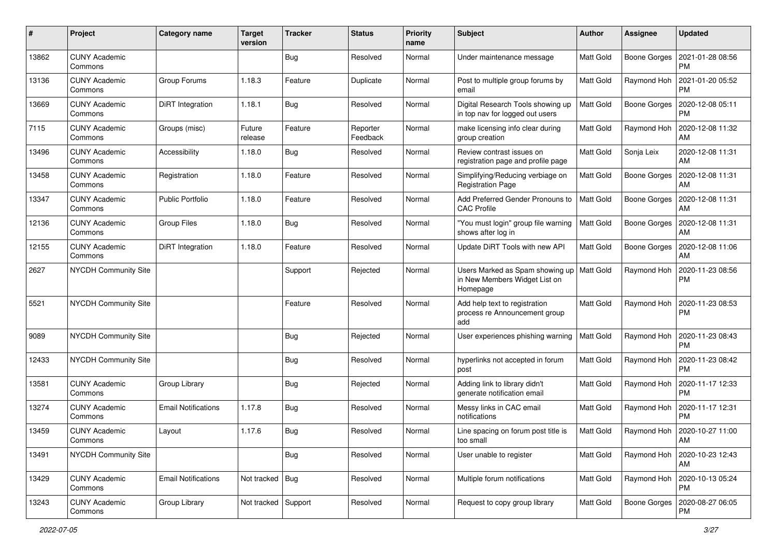| #     | Project                         | <b>Category name</b>       | <b>Target</b><br>version | <b>Tracker</b> | <b>Status</b>        | <b>Priority</b><br>name | <b>Subject</b>                                                               | Author           | <b>Assignee</b>     | <b>Updated</b>                |
|-------|---------------------------------|----------------------------|--------------------------|----------------|----------------------|-------------------------|------------------------------------------------------------------------------|------------------|---------------------|-------------------------------|
| 13862 | <b>CUNY Academic</b><br>Commons |                            |                          | <b>Bug</b>     | Resolved             | Normal                  | Under maintenance message                                                    | Matt Gold        | Boone Gorges        | 2021-01-28 08:56<br><b>PM</b> |
| 13136 | <b>CUNY Academic</b><br>Commons | Group Forums               | 1.18.3                   | Feature        | Duplicate            | Normal                  | Post to multiple group forums by<br>email                                    | <b>Matt Gold</b> | Raymond Hoh         | 2021-01-20 05:52<br><b>PM</b> |
| 13669 | <b>CUNY Academic</b><br>Commons | DiRT Integration           | 1.18.1                   | Bug            | Resolved             | Normal                  | Digital Research Tools showing up<br>in top nav for logged out users         | Matt Gold        | <b>Boone Gorges</b> | 2020-12-08 05:11<br><b>PM</b> |
| 7115  | <b>CUNY Academic</b><br>Commons | Groups (misc)              | Future<br>release        | Feature        | Reporter<br>Feedback | Normal                  | make licensing info clear during<br>group creation                           | <b>Matt Gold</b> | Raymond Hoh         | 2020-12-08 11:32<br>AM        |
| 13496 | <b>CUNY Academic</b><br>Commons | Accessibility              | 1.18.0                   | <b>Bug</b>     | Resolved             | Normal                  | Review contrast issues on<br>registration page and profile page              | Matt Gold        | Sonja Leix          | 2020-12-08 11:31<br>AM        |
| 13458 | <b>CUNY Academic</b><br>Commons | Registration               | 1.18.0                   | Feature        | Resolved             | Normal                  | Simplifying/Reducing verbiage on<br><b>Registration Page</b>                 | Matt Gold        | <b>Boone Gorges</b> | 2020-12-08 11:31<br>AM        |
| 13347 | <b>CUNY Academic</b><br>Commons | <b>Public Portfolio</b>    | 1.18.0                   | Feature        | Resolved             | Normal                  | Add Preferred Gender Pronouns to<br><b>CAC Profile</b>                       | Matt Gold        | Boone Gorges        | 2020-12-08 11:31<br>AM        |
| 12136 | <b>CUNY Academic</b><br>Commons | <b>Group Files</b>         | 1.18.0                   | <b>Bug</b>     | Resolved             | Normal                  | "You must login" group file warning<br>shows after log in                    | Matt Gold        | <b>Boone Gorges</b> | 2020-12-08 11:31<br>AM        |
| 12155 | <b>CUNY Academic</b><br>Commons | DiRT Integration           | 1.18.0                   | Feature        | Resolved             | Normal                  | Update DiRT Tools with new API                                               | <b>Matt Gold</b> | <b>Boone Gorges</b> | 2020-12-08 11:06<br>AM        |
| 2627  | <b>NYCDH Community Site</b>     |                            |                          | Support        | Rejected             | Normal                  | Users Marked as Spam showing up<br>in New Members Widget List on<br>Homepage | Matt Gold        | Raymond Hoh         | 2020-11-23 08:56<br><b>PM</b> |
| 5521  | NYCDH Community Site            |                            |                          | Feature        | Resolved             | Normal                  | Add help text to registration<br>process re Announcement group<br>add        | Matt Gold        | Raymond Hoh         | 2020-11-23 08:53<br><b>PM</b> |
| 9089  | NYCDH Community Site            |                            |                          | Bug            | Rejected             | Normal                  | User experiences phishing warning                                            | Matt Gold        | Raymond Hoh         | 2020-11-23 08:43<br><b>PM</b> |
| 12433 | <b>NYCDH Community Site</b>     |                            |                          | Bug            | Resolved             | Normal                  | hyperlinks not accepted in forum<br>post                                     | <b>Matt Gold</b> | Raymond Hoh         | 2020-11-23 08:42<br><b>PM</b> |
| 13581 | <b>CUNY Academic</b><br>Commons | Group Library              |                          | Bug            | Rejected             | Normal                  | Adding link to library didn't<br>generate notification email                 | Matt Gold        | Raymond Hoh         | 2020-11-17 12:33<br><b>PM</b> |
| 13274 | <b>CUNY Academic</b><br>Commons | <b>Email Notifications</b> | 1.17.8                   | Bug            | Resolved             | Normal                  | Messy links in CAC email<br>notifications                                    | Matt Gold        | Raymond Hoh         | 2020-11-17 12:31<br><b>PM</b> |
| 13459 | <b>CUNY Academic</b><br>Commons | Layout                     | 1.17.6                   | Bug            | Resolved             | Normal                  | Line spacing on forum post title is<br>too small                             | Matt Gold        | Raymond Hoh         | 2020-10-27 11:00<br>AM        |
| 13491 | NYCDH Community Site            |                            |                          | Bug            | Resolved             | Normal                  | User unable to register                                                      | Matt Gold        | Raymond Hoh         | 2020-10-23 12:43<br>AM        |
| 13429 | <b>CUNY Academic</b><br>Commons | <b>Email Notifications</b> | Not tracked   Bug        |                | Resolved             | Normal                  | Multiple forum notifications                                                 | Matt Gold        | Raymond Hoh         | 2020-10-13 05:24<br><b>PM</b> |
| 13243 | <b>CUNY Academic</b><br>Commons | Group Library              | Not tracked Support      |                | Resolved             | Normal                  | Request to copy group library                                                | Matt Gold        | <b>Boone Gorges</b> | 2020-08-27 06:05<br>PM        |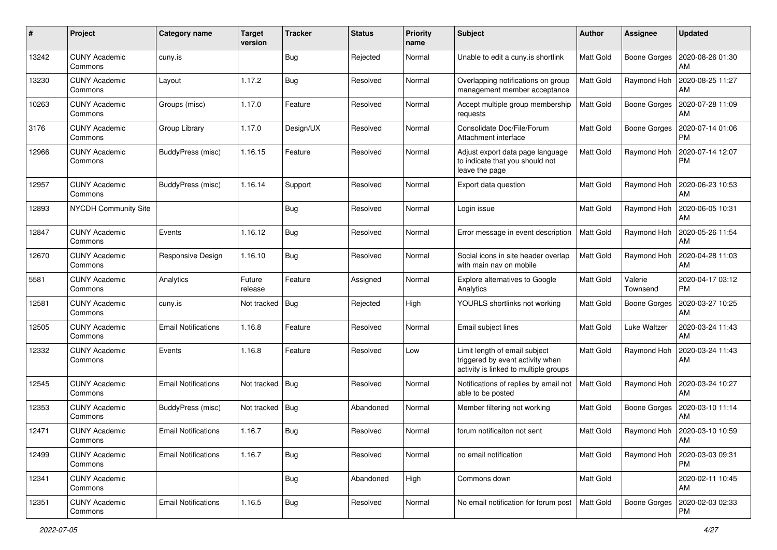| #     | Project                         | <b>Category name</b>       | <b>Target</b><br>version | <b>Tracker</b> | <b>Status</b> | <b>Priority</b><br>name | <b>Subject</b>                                                                                             | Author           | Assignee            | <b>Updated</b>                |
|-------|---------------------------------|----------------------------|--------------------------|----------------|---------------|-------------------------|------------------------------------------------------------------------------------------------------------|------------------|---------------------|-------------------------------|
| 13242 | <b>CUNY Academic</b><br>Commons | cuny.is                    |                          | <b>Bug</b>     | Rejected      | Normal                  | Unable to edit a cuny.is shortlink                                                                         | <b>Matt Gold</b> | <b>Boone Gorges</b> | 2020-08-26 01:30<br>AM        |
| 13230 | <b>CUNY Academic</b><br>Commons | Layout                     | 1.17.2                   | Bug            | Resolved      | Normal                  | Overlapping notifications on group<br>management member acceptance                                         | <b>Matt Gold</b> | Raymond Hoh         | 2020-08-25 11:27<br>AM        |
| 10263 | <b>CUNY Academic</b><br>Commons | Groups (misc)              | 1.17.0                   | Feature        | Resolved      | Normal                  | Accept multiple group membership<br>requests                                                               | Matt Gold        | <b>Boone Gorges</b> | 2020-07-28 11:09<br>AM        |
| 3176  | <b>CUNY Academic</b><br>Commons | Group Library              | 1.17.0                   | Design/UX      | Resolved      | Normal                  | Consolidate Doc/File/Forum<br>Attachment interface                                                         | <b>Matt Gold</b> | <b>Boone Gorges</b> | 2020-07-14 01:06<br><b>PM</b> |
| 12966 | <b>CUNY Academic</b><br>Commons | BuddyPress (misc)          | 1.16.15                  | Feature        | Resolved      | Normal                  | Adjust export data page language<br>to indicate that you should not<br>leave the page                      | Matt Gold        | Raymond Hoh         | 2020-07-14 12:07<br><b>PM</b> |
| 12957 | <b>CUNY Academic</b><br>Commons | BuddyPress (misc)          | 1.16.14                  | Support        | Resolved      | Normal                  | Export data question                                                                                       | Matt Gold        | Raymond Hoh         | 2020-06-23 10:53<br>AM        |
| 12893 | <b>NYCDH Community Site</b>     |                            |                          | Bug            | Resolved      | Normal                  | Login issue                                                                                                | <b>Matt Gold</b> | Raymond Hoh         | 2020-06-05 10:31<br>AM        |
| 12847 | <b>CUNY Academic</b><br>Commons | Events                     | 1.16.12                  | Bug            | Resolved      | Normal                  | Error message in event description                                                                         | Matt Gold        | Raymond Hoh         | 2020-05-26 11:54<br>AM        |
| 12670 | <b>CUNY Academic</b><br>Commons | Responsive Design          | 1.16.10                  | <b>Bug</b>     | Resolved      | Normal                  | Social icons in site header overlap<br>with main nav on mobile                                             | Matt Gold        | Raymond Hoh         | 2020-04-28 11:03<br>AM        |
| 5581  | <b>CUNY Academic</b><br>Commons | Analytics                  | Future<br>release        | Feature        | Assigned      | Normal                  | Explore alternatives to Google<br>Analytics                                                                | <b>Matt Gold</b> | Valerie<br>Townsend | 2020-04-17 03:12<br><b>PM</b> |
| 12581 | <b>CUNY Academic</b><br>Commons | cuny.is                    | Not tracked              | Bug            | Rejected      | High                    | YOURLS shortlinks not working                                                                              | <b>Matt Gold</b> | <b>Boone Gorges</b> | 2020-03-27 10:25<br>AM        |
| 12505 | <b>CUNY Academic</b><br>Commons | <b>Email Notifications</b> | 1.16.8                   | Feature        | Resolved      | Normal                  | Email subject lines                                                                                        | <b>Matt Gold</b> | Luke Waltzer        | 2020-03-24 11:43<br>AM        |
| 12332 | <b>CUNY Academic</b><br>Commons | Events                     | 1.16.8                   | Feature        | Resolved      | Low                     | Limit length of email subject<br>triggered by event activity when<br>activity is linked to multiple groups | Matt Gold        | Raymond Hoh         | 2020-03-24 11:43<br>AM        |
| 12545 | <b>CUNY Academic</b><br>Commons | <b>Email Notifications</b> | Not tracked              | Bug            | Resolved      | Normal                  | Notifications of replies by email not<br>able to be posted                                                 | Matt Gold        | Raymond Hoh         | 2020-03-24 10:27<br>AM        |
| 12353 | <b>CUNY Academic</b><br>Commons | BuddyPress (misc)          | Not tracked              | Bug            | Abandoned     | Normal                  | Member filtering not working                                                                               | <b>Matt Gold</b> | Boone Gorges        | 2020-03-10 11:14<br>AM        |
| 12471 | <b>CUNY Academic</b><br>Commons | Email Notifications        | 1.16.7                   | <b>Bug</b>     | Resolved      | Normal                  | forum notificaiton not sent                                                                                | <b>Matt Gold</b> | Raymond Hoh         | 2020-03-10 10:59<br>AM        |
| 12499 | <b>CUNY Academic</b><br>Commons | <b>Email Notifications</b> | 1.16.7                   | <b>Bug</b>     | Resolved      | Normal                  | no email notification                                                                                      | Matt Gold        | Raymond Hoh         | 2020-03-03 09:31<br>PM        |
| 12341 | <b>CUNY Academic</b><br>Commons |                            |                          | <b>Bug</b>     | Abandoned     | High                    | Commons down                                                                                               | Matt Gold        |                     | 2020-02-11 10:45<br>AM        |
| 12351 | <b>CUNY Academic</b><br>Commons | <b>Email Notifications</b> | 1.16.5                   | Bug            | Resolved      | Normal                  | No email notification for forum post                                                                       | Matt Gold        | <b>Boone Gorges</b> | 2020-02-03 02:33<br>PM.       |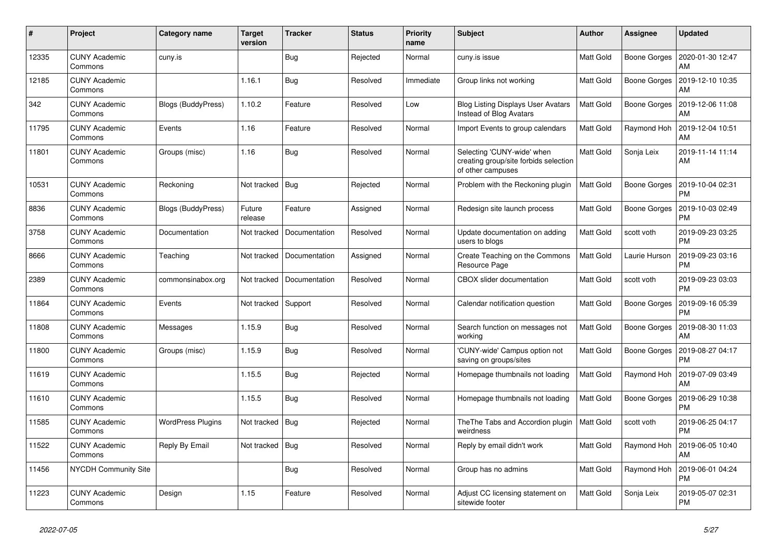| $\#$  | Project                         | Category name            | <b>Target</b><br>version | <b>Tracker</b> | <b>Status</b> | <b>Priority</b><br>name | <b>Subject</b>                                                                           | <b>Author</b>    | <b>Assignee</b> | <b>Updated</b>                |
|-------|---------------------------------|--------------------------|--------------------------|----------------|---------------|-------------------------|------------------------------------------------------------------------------------------|------------------|-----------------|-------------------------------|
| 12335 | <b>CUNY Academic</b><br>Commons | cuny.is                  |                          | <b>Bug</b>     | Rejected      | Normal                  | cuny.is issue                                                                            | Matt Gold        | Boone Gorges    | 2020-01-30 12:47<br>AM        |
| 12185 | <b>CUNY Academic</b><br>Commons |                          | 1.16.1                   | Bug            | Resolved      | Immediate               | Group links not working                                                                  | Matt Gold        | Boone Gorges    | 2019-12-10 10:35<br>AM        |
| 342   | <b>CUNY Academic</b><br>Commons | Blogs (BuddyPress)       | 1.10.2                   | Feature        | Resolved      | Low                     | <b>Blog Listing Displays User Avatars</b><br>Instead of Blog Avatars                     | Matt Gold        | Boone Gorges    | 2019-12-06 11:08<br>AM        |
| 11795 | <b>CUNY Academic</b><br>Commons | Events                   | 1.16                     | Feature        | Resolved      | Normal                  | Import Events to group calendars                                                         | Matt Gold        | Raymond Hoh     | 2019-12-04 10:51<br>AM        |
| 11801 | <b>CUNY Academic</b><br>Commons | Groups (misc)            | 1.16                     | <b>Bug</b>     | Resolved      | Normal                  | Selecting 'CUNY-wide' when<br>creating group/site forbids selection<br>of other campuses | Matt Gold        | Sonja Leix      | 2019-11-14 11:14<br>AM        |
| 10531 | <b>CUNY Academic</b><br>Commons | Reckoning                | Not tracked              | Bug            | Rejected      | Normal                  | Problem with the Reckoning plugin                                                        | <b>Matt Gold</b> | Boone Gorges    | 2019-10-04 02:31<br><b>PM</b> |
| 8836  | <b>CUNY Academic</b><br>Commons | Blogs (BuddyPress)       | Future<br>release        | Feature        | Assigned      | Normal                  | Redesign site launch process                                                             | Matt Gold        | Boone Gorges    | 2019-10-03 02:49<br><b>PM</b> |
| 3758  | <b>CUNY Academic</b><br>Commons | Documentation            | Not tracked              | Documentation  | Resolved      | Normal                  | Update documentation on adding<br>users to blogs                                         | <b>Matt Gold</b> | scott voth      | 2019-09-23 03:25<br><b>PM</b> |
| 8666  | <b>CUNY Academic</b><br>Commons | Teaching                 | Not tracked              | Documentation  | Assigned      | Normal                  | Create Teaching on the Commons<br>Resource Page                                          | Matt Gold        | Laurie Hurson   | 2019-09-23 03:16<br><b>PM</b> |
| 2389  | <b>CUNY Academic</b><br>Commons | commonsinabox.org        | Not tracked              | Documentation  | Resolved      | Normal                  | <b>CBOX</b> slider documentation                                                         | Matt Gold        | scott voth      | 2019-09-23 03:03<br><b>PM</b> |
| 11864 | <b>CUNY Academic</b><br>Commons | Events                   | Not tracked              | Support        | Resolved      | Normal                  | Calendar notification question                                                           | Matt Gold        | Boone Gorges    | 2019-09-16 05:39<br><b>PM</b> |
| 11808 | <b>CUNY Academic</b><br>Commons | Messages                 | 1.15.9                   | Bug            | Resolved      | Normal                  | Search function on messages not<br>working                                               | <b>Matt Gold</b> | Boone Gorges    | 2019-08-30 11:03<br>AM        |
| 11800 | <b>CUNY Academic</b><br>Commons | Groups (misc)            | 1.15.9                   | <b>Bug</b>     | Resolved      | Normal                  | 'CUNY-wide' Campus option not<br>saving on groups/sites                                  | Matt Gold        | Boone Gorges    | 2019-08-27 04:17<br><b>PM</b> |
| 11619 | <b>CUNY Academic</b><br>Commons |                          | 1.15.5                   | <b>Bug</b>     | Rejected      | Normal                  | Homepage thumbnails not loading                                                          | Matt Gold        | Raymond Hoh     | 2019-07-09 03:49<br>AM        |
| 11610 | <b>CUNY Academic</b><br>Commons |                          | 1.15.5                   | <b>Bug</b>     | Resolved      | Normal                  | Homepage thumbnails not loading                                                          | <b>Matt Gold</b> | Boone Gorges    | 2019-06-29 10:38<br><b>PM</b> |
| 11585 | <b>CUNY Academic</b><br>Commons | <b>WordPress Plugins</b> | Not tracked              | <b>Bug</b>     | Rejected      | Normal                  | The The Tabs and Accordion plugin<br>weirdness                                           | <b>Matt Gold</b> | scott voth      | 2019-06-25 04:17<br><b>PM</b> |
| 11522 | <b>CUNY Academic</b><br>Commons | Reply By Email           | Not tracked              | Bug            | Resolved      | Normal                  | Reply by email didn't work                                                               | Matt Gold        | Raymond Hoh     | 2019-06-05 10:40<br>AM        |
| 11456 | <b>NYCDH Community Site</b>     |                          |                          | Bug            | Resolved      | Normal                  | Group has no admins                                                                      | Matt Gold        | Raymond Hoh     | 2019-06-01 04:24<br><b>PM</b> |
| 11223 | <b>CUNY Academic</b><br>Commons | Design                   | 1.15                     | Feature        | Resolved      | Normal                  | Adjust CC licensing statement on<br>sitewide footer                                      | Matt Gold        | Sonja Leix      | 2019-05-07 02:31<br><b>PM</b> |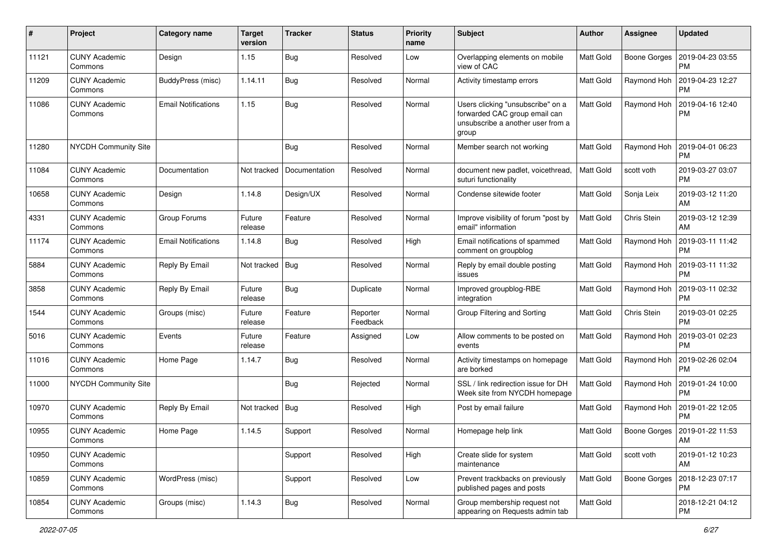| $\#$  | Project                         | Category name              | <b>Target</b><br>version | <b>Tracker</b> | <b>Status</b>        | <b>Priority</b><br>name | <b>Subject</b>                                                                                                   | Author           | Assignee     | <b>Updated</b>                |
|-------|---------------------------------|----------------------------|--------------------------|----------------|----------------------|-------------------------|------------------------------------------------------------------------------------------------------------------|------------------|--------------|-------------------------------|
| 11121 | <b>CUNY Academic</b><br>Commons | Design                     | 1.15                     | Bug            | Resolved             | Low                     | Overlapping elements on mobile<br>view of CAC                                                                    | <b>Matt Gold</b> | Boone Gorges | 2019-04-23 03:55<br><b>PM</b> |
| 11209 | <b>CUNY Academic</b><br>Commons | BuddyPress (misc)          | 1.14.11                  | Bug            | Resolved             | Normal                  | Activity timestamp errors                                                                                        | <b>Matt Gold</b> | Raymond Hoh  | 2019-04-23 12:27<br><b>PM</b> |
| 11086 | <b>CUNY Academic</b><br>Commons | <b>Email Notifications</b> | 1.15                     | Bug            | Resolved             | Normal                  | Users clicking "unsubscribe" on a<br>forwarded CAC group email can<br>unsubscribe a another user from a<br>group | <b>Matt Gold</b> | Raymond Hoh  | 2019-04-16 12:40<br><b>PM</b> |
| 11280 | <b>NYCDH Community Site</b>     |                            |                          | Bug            | Resolved             | Normal                  | Member search not working                                                                                        | <b>Matt Gold</b> | Raymond Hoh  | 2019-04-01 06:23<br><b>PM</b> |
| 11084 | <b>CUNY Academic</b><br>Commons | Documentation              | Not tracked              | Documentation  | Resolved             | Normal                  | document new padlet, voicethread,<br>suturi functionality                                                        | Matt Gold        | scott voth   | 2019-03-27 03:07<br><b>PM</b> |
| 10658 | <b>CUNY Academic</b><br>Commons | Design                     | 1.14.8                   | Design/UX      | Resolved             | Normal                  | Condense sitewide footer                                                                                         | Matt Gold        | Sonja Leix   | 2019-03-12 11:20<br>AM        |
| 4331  | <b>CUNY Academic</b><br>Commons | Group Forums               | Future<br>release        | Feature        | Resolved             | Normal                  | Improve visibility of forum "post by<br>email" information                                                       | <b>Matt Gold</b> | Chris Stein  | 2019-03-12 12:39<br>AM        |
| 11174 | <b>CUNY Academic</b><br>Commons | <b>Email Notifications</b> | 1.14.8                   | Bug            | Resolved             | High                    | Email notifications of spammed<br>comment on groupblog                                                           | Matt Gold        | Raymond Hoh  | 2019-03-11 11:42<br><b>PM</b> |
| 5884  | <b>CUNY Academic</b><br>Commons | Reply By Email             | Not tracked              | Bug            | Resolved             | Normal                  | Reply by email double posting<br>issues                                                                          | Matt Gold        | Raymond Hoh  | 2019-03-11 11:32<br><b>PM</b> |
| 3858  | <b>CUNY Academic</b><br>Commons | Reply By Email             | Future<br>release        | Bug            | Duplicate            | Normal                  | Improved groupblog-RBE<br>integration                                                                            | Matt Gold        | Raymond Hoh  | 2019-03-11 02:32<br><b>PM</b> |
| 1544  | <b>CUNY Academic</b><br>Commons | Groups (misc)              | Future<br>release        | Feature        | Reporter<br>Feedback | Normal                  | Group Filtering and Sorting                                                                                      | Matt Gold        | Chris Stein  | 2019-03-01 02:25<br><b>PM</b> |
| 5016  | <b>CUNY Academic</b><br>Commons | Events                     | Future<br>release        | Feature        | Assigned             | Low                     | Allow comments to be posted on<br>events                                                                         | Matt Gold        | Raymond Hoh  | 2019-03-01 02:23<br><b>PM</b> |
| 11016 | <b>CUNY Academic</b><br>Commons | Home Page                  | 1.14.7                   | Bug            | Resolved             | Normal                  | Activity timestamps on homepage<br>are borked                                                                    | Matt Gold        | Raymond Hoh  | 2019-02-26 02:04<br><b>PM</b> |
| 11000 | <b>NYCDH Community Site</b>     |                            |                          | Bug            | Rejected             | Normal                  | SSL / link redirection issue for DH<br>Week site from NYCDH homepage                                             | Matt Gold        | Raymond Hoh  | 2019-01-24 10:00<br><b>PM</b> |
| 10970 | <b>CUNY Academic</b><br>Commons | Reply By Email             | Not tracked              | <b>Bug</b>     | Resolved             | High                    | Post by email failure                                                                                            | Matt Gold        | Raymond Hoh  | 2019-01-22 12:05<br><b>PM</b> |
| 10955 | <b>CUNY Academic</b><br>Commons | Home Page                  | 1.14.5                   | Support        | Resolved             | Normal                  | Homepage help link                                                                                               | Matt Gold        | Boone Gorges | 2019-01-22 11:53<br>AM        |
| 10950 | <b>CUNY Academic</b><br>Commons |                            |                          | Support        | Resolved             | High                    | Create slide for system<br>maintenance                                                                           | Matt Gold        | scott voth   | 2019-01-12 10:23<br>AM        |
| 10859 | <b>CUNY Academic</b><br>Commons | WordPress (misc)           |                          | Support        | Resolved             | Low                     | Prevent trackbacks on previously<br>published pages and posts                                                    | Matt Gold        | Boone Gorges | 2018-12-23 07:17<br><b>PM</b> |
| 10854 | <b>CUNY Academic</b><br>Commons | Groups (misc)              | 1.14.3                   | Bug            | Resolved             | Normal                  | Group membership request not<br>appearing on Requests admin tab                                                  | Matt Gold        |              | 2018-12-21 04:12<br><b>PM</b> |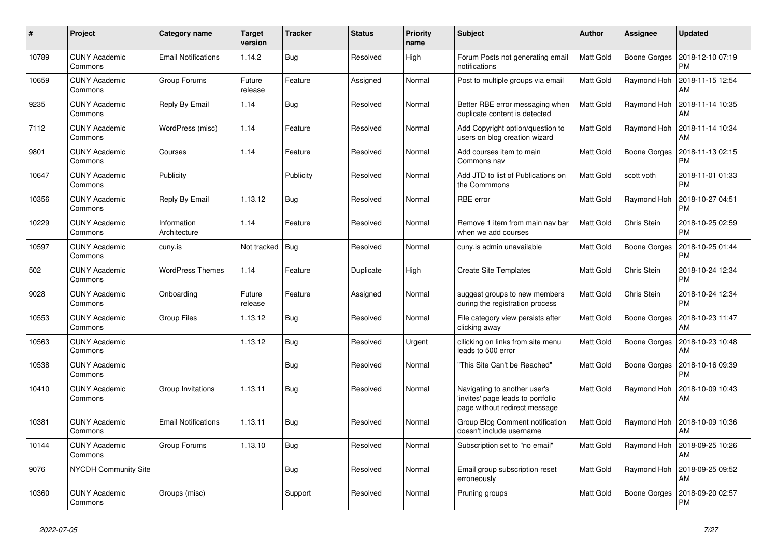| #     | Project                         | Category name               | <b>Target</b><br>version | <b>Tracker</b> | <b>Status</b> | <b>Priority</b><br>name | <b>Subject</b>                                                                                     | Author    | Assignee            | <b>Updated</b>                |
|-------|---------------------------------|-----------------------------|--------------------------|----------------|---------------|-------------------------|----------------------------------------------------------------------------------------------------|-----------|---------------------|-------------------------------|
| 10789 | <b>CUNY Academic</b><br>Commons | <b>Email Notifications</b>  | 1.14.2                   | Bug            | Resolved      | High                    | Forum Posts not generating email<br>notifications                                                  | Matt Gold | Boone Gorges        | 2018-12-10 07:19<br><b>PM</b> |
| 10659 | <b>CUNY Academic</b><br>Commons | Group Forums                | Future<br>release        | Feature        | Assigned      | Normal                  | Post to multiple groups via email                                                                  | Matt Gold | Raymond Hoh         | 2018-11-15 12:54<br>AM        |
| 9235  | <b>CUNY Academic</b><br>Commons | Reply By Email              | 1.14                     | Bug            | Resolved      | Normal                  | Better RBE error messaging when<br>duplicate content is detected                                   | Matt Gold | Raymond Hoh         | 2018-11-14 10:35<br>AM        |
| 7112  | <b>CUNY Academic</b><br>Commons | WordPress (misc)            | 1.14                     | Feature        | Resolved      | Normal                  | Add Copyright option/question to<br>users on blog creation wizard                                  | Matt Gold | Raymond Hoh         | 2018-11-14 10:34<br>AM        |
| 9801  | <b>CUNY Academic</b><br>Commons | Courses                     | 1.14                     | Feature        | Resolved      | Normal                  | Add courses item to main<br>Commons nav                                                            | Matt Gold | <b>Boone Gorges</b> | 2018-11-13 02:15<br><b>PM</b> |
| 10647 | <b>CUNY Academic</b><br>Commons | Publicity                   |                          | Publicity      | Resolved      | Normal                  | Add JTD to list of Publications on<br>the Commmons                                                 | Matt Gold | scott voth          | 2018-11-01 01:33<br><b>PM</b> |
| 10356 | <b>CUNY Academic</b><br>Commons | Reply By Email              | 1.13.12                  | Bug            | Resolved      | Normal                  | <b>RBE</b> error                                                                                   | Matt Gold | Raymond Hoh         | 2018-10-27 04:51<br><b>PM</b> |
| 10229 | <b>CUNY Academic</b><br>Commons | Information<br>Architecture | 1.14                     | Feature        | Resolved      | Normal                  | Remove 1 item from main nav bar<br>when we add courses                                             | Matt Gold | Chris Stein         | 2018-10-25 02:59<br><b>PM</b> |
| 10597 | <b>CUNY Academic</b><br>Commons | cuny.is                     | Not tracked              | <b>Bug</b>     | Resolved      | Normal                  | cuny.is admin unavailable                                                                          | Matt Gold | <b>Boone Gorges</b> | 2018-10-25 01:44<br><b>PM</b> |
| 502   | <b>CUNY Academic</b><br>Commons | <b>WordPress Themes</b>     | 1.14                     | Feature        | Duplicate     | High                    | <b>Create Site Templates</b>                                                                       | Matt Gold | Chris Stein         | 2018-10-24 12:34<br><b>PM</b> |
| 9028  | <b>CUNY Academic</b><br>Commons | Onboarding                  | Future<br>release        | Feature        | Assigned      | Normal                  | suggest groups to new members<br>during the registration process                                   | Matt Gold | Chris Stein         | 2018-10-24 12:34<br><b>PM</b> |
| 10553 | <b>CUNY Academic</b><br>Commons | <b>Group Files</b>          | 1.13.12                  | Bug            | Resolved      | Normal                  | File category view persists after<br>clicking away                                                 | Matt Gold | <b>Boone Gorges</b> | 2018-10-23 11:47<br>AM        |
| 10563 | <b>CUNY Academic</b><br>Commons |                             | 1.13.12                  | <b>Bug</b>     | Resolved      | Urgent                  | cllicking on links from site menu<br>leads to 500 error                                            | Matt Gold | Boone Gorges        | 2018-10-23 10:48<br>AM        |
| 10538 | <b>CUNY Academic</b><br>Commons |                             |                          | Bug            | Resolved      | Normal                  | "This Site Can't be Reached"                                                                       | Matt Gold | Boone Gorges        | 2018-10-16 09:39<br><b>PM</b> |
| 10410 | <b>CUNY Academic</b><br>Commons | Group Invitations           | 1.13.11                  | <b>Bug</b>     | Resolved      | Normal                  | Navigating to another user's<br>'invites' page leads to portfolio<br>page without redirect message | Matt Gold | Raymond Hoh         | 2018-10-09 10:43<br>AM        |
| 10381 | <b>CUNY Academic</b><br>Commons | <b>Email Notifications</b>  | 1.13.11                  | Bug            | Resolved      | Normal                  | Group Blog Comment notification<br>doesn't include username                                        | Matt Gold | Raymond Hoh         | 2018-10-09 10:36<br>AM        |
| 10144 | <b>CUNY Academic</b><br>Commons | Group Forums                | 1.13.10                  | <b>Bug</b>     | Resolved      | Normal                  | Subscription set to "no email"                                                                     | Matt Gold | Raymond Hoh         | 2018-09-25 10:26<br>AM        |
| 9076  | <b>NYCDH Community Site</b>     |                             |                          | Bug            | Resolved      | Normal                  | Email group subscription reset<br>erroneously                                                      | Matt Gold | Raymond Hoh         | 2018-09-25 09:52<br>AM        |
| 10360 | <b>CUNY Academic</b><br>Commons | Groups (misc)               |                          | Support        | Resolved      | Normal                  | Pruning groups                                                                                     | Matt Gold | Boone Gorges        | 2018-09-20 02:57<br><b>PM</b> |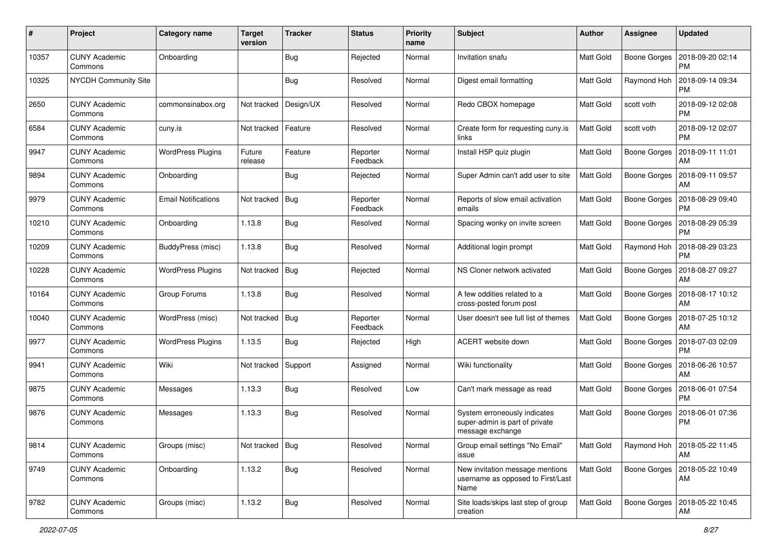| #     | Project                         | <b>Category name</b>       | <b>Target</b><br>version | <b>Tracker</b> | <b>Status</b>        | <b>Priority</b><br>name | Subject                                                                            | Author           | Assignee            | <b>Updated</b>                       |
|-------|---------------------------------|----------------------------|--------------------------|----------------|----------------------|-------------------------|------------------------------------------------------------------------------------|------------------|---------------------|--------------------------------------|
| 10357 | <b>CUNY Academic</b><br>Commons | Onboarding                 |                          | Bug            | Rejected             | Normal                  | Invitation snafu                                                                   | Matt Gold        | <b>Boone Gorges</b> | 2018-09-20 02:14<br><b>PM</b>        |
| 10325 | NYCDH Community Site            |                            |                          | Bug            | Resolved             | Normal                  | Digest email formatting                                                            | Matt Gold        | Raymond Hoh         | 2018-09-14 09:34<br><b>PM</b>        |
| 2650  | <b>CUNY Academic</b><br>Commons | commonsinabox.org          | Not tracked              | Design/UX      | Resolved             | Normal                  | Redo CBOX homepage                                                                 | Matt Gold        | scott voth          | 2018-09-12 02:08<br><b>PM</b>        |
| 6584  | <b>CUNY Academic</b><br>Commons | cuny.is                    | Not tracked              | Feature        | Resolved             | Normal                  | Create form for requesting cuny.is<br>links                                        | Matt Gold        | scott voth          | 2018-09-12 02:07<br><b>PM</b>        |
| 9947  | <b>CUNY Academic</b><br>Commons | <b>WordPress Plugins</b>   | Future<br>release        | Feature        | Reporter<br>Feedback | Normal                  | Install H5P quiz plugin                                                            | Matt Gold        | Boone Gorges        | 2018-09-11 11:01<br>AM               |
| 9894  | <b>CUNY Academic</b><br>Commons | Onboarding                 |                          | Bug            | Rejected             | Normal                  | Super Admin can't add user to site                                                 | Matt Gold        | Boone Gorges        | 2018-09-11 09:57<br>AM               |
| 9979  | <b>CUNY Academic</b><br>Commons | <b>Email Notifications</b> | Not tracked              | Bug            | Reporter<br>Feedback | Normal                  | Reports of slow email activation<br>emails                                         | Matt Gold        | Boone Gorges        | 2018-08-29 09:40<br><b>PM</b>        |
| 10210 | <b>CUNY Academic</b><br>Commons | Onboarding                 | 1.13.8                   | Bug            | Resolved             | Normal                  | Spacing wonky on invite screen                                                     | Matt Gold        | Boone Gorges        | 2018-08-29 05:39<br>РM               |
| 10209 | <b>CUNY Academic</b><br>Commons | BuddyPress (misc)          | 1.13.8                   | Bug            | Resolved             | Normal                  | Additional login prompt                                                            | Matt Gold        | Raymond Hoh         | 2018-08-29 03:23<br><b>PM</b>        |
| 10228 | <b>CUNY Academic</b><br>Commons | <b>WordPress Plugins</b>   | Not tracked              | <b>Bug</b>     | Rejected             | Normal                  | NS Cloner network activated                                                        | Matt Gold        | <b>Boone Gorges</b> | 2018-08-27 09:27<br>AM               |
| 10164 | <b>CUNY Academic</b><br>Commons | Group Forums               | 1.13.8                   | Bug            | Resolved             | Normal                  | A few oddities related to a<br>cross-posted forum post                             | <b>Matt Gold</b> | <b>Boone Gorges</b> | 2018-08-17 10:12<br>AM               |
| 10040 | <b>CUNY Academic</b><br>Commons | WordPress (misc)           | Not tracked              | <b>Bug</b>     | Reporter<br>Feedback | Normal                  | User doesn't see full list of themes                                               | Matt Gold        | Boone Gorges        | 2018-07-25 10:12<br>AM               |
| 9977  | <b>CUNY Academic</b><br>Commons | <b>WordPress Plugins</b>   | 1.13.5                   | Bug            | Rejected             | High                    | ACERT website down                                                                 | Matt Gold        | <b>Boone Gorges</b> | 2018-07-03 02:09<br><b>PM</b>        |
| 9941  | <b>CUNY Academic</b><br>Commons | Wiki                       | Not tracked              | Support        | Assigned             | Normal                  | Wiki functionality                                                                 | Matt Gold        | Boone Gorges        | 2018-06-26 10:57<br>AM               |
| 9875  | <b>CUNY Academic</b><br>Commons | Messages                   | 1.13.3                   | <b>Bug</b>     | Resolved             | Low                     | Can't mark message as read                                                         | Matt Gold        | Boone Gorges        | 2018-06-01 07:54<br><b>PM</b>        |
| 9876  | <b>CUNY Academic</b><br>Commons | Messages                   | 1.13.3                   | Bug            | Resolved             | Normal                  | System erroneously indicates<br>super-admin is part of private<br>message exchange | Matt Gold        | Boone Gorges        | 2018-06-01 07:36<br><b>PM</b>        |
| 9814  | <b>CUNY Academic</b><br>Commons | Groups (misc)              | Not tracked   Bug        |                | Resolved             | Normal                  | Group email settings "No Email"<br>issue                                           | <b>Matt Gold</b> |                     | Raymond Hoh   2018-05-22 11:45<br>AM |
| 9749  | <b>CUNY Academic</b><br>Commons | Onboarding                 | 1.13.2                   | <b>Bug</b>     | Resolved             | Normal                  | New invitation message mentions<br>username as opposed to First/Last<br>Name       | Matt Gold        | <b>Boone Gorges</b> | 2018-05-22 10:49<br>AM               |
| 9782  | <b>CUNY Academic</b><br>Commons | Groups (misc)              | 1.13.2                   | <b>Bug</b>     | Resolved             | Normal                  | Site loads/skips last step of group<br>creation                                    | Matt Gold        | Boone Gorges        | 2018-05-22 10:45<br>AM               |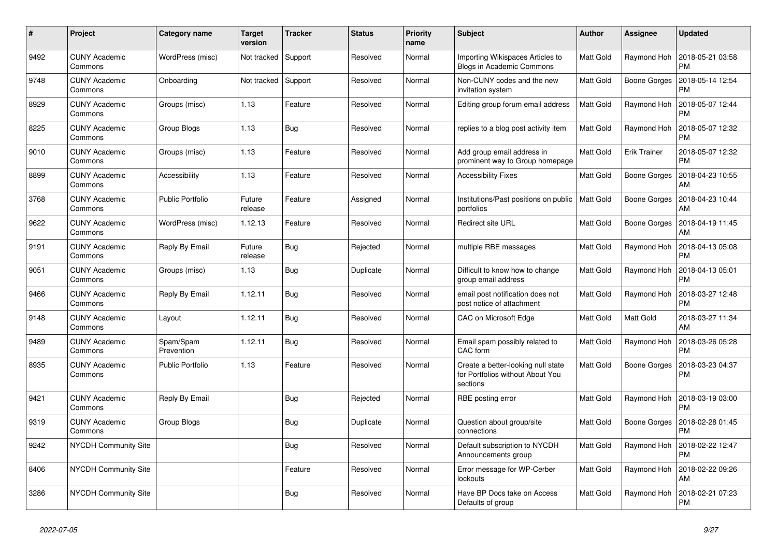| #    | Project                         | Category name           | <b>Target</b><br>version | <b>Tracker</b> | <b>Status</b> | <b>Priority</b><br>name | <b>Subject</b>                                                                     | Author    | Assignee            | <b>Updated</b>                |
|------|---------------------------------|-------------------------|--------------------------|----------------|---------------|-------------------------|------------------------------------------------------------------------------------|-----------|---------------------|-------------------------------|
| 9492 | <b>CUNY Academic</b><br>Commons | WordPress (misc)        | Not tracked              | Support        | Resolved      | Normal                  | Importing Wikispaces Articles to<br>Blogs in Academic Commons                      | Matt Gold | Raymond Hoh         | 2018-05-21 03:58<br><b>PM</b> |
| 9748 | <b>CUNY Academic</b><br>Commons | Onboarding              | Not tracked              | Support        | Resolved      | Normal                  | Non-CUNY codes and the new<br>invitation system                                    | Matt Gold | <b>Boone Gorges</b> | 2018-05-14 12:54<br><b>PM</b> |
| 8929 | <b>CUNY Academic</b><br>Commons | Groups (misc)           | 1.13                     | Feature        | Resolved      | Normal                  | Editing group forum email address                                                  | Matt Gold | Raymond Hoh         | 2018-05-07 12:44<br><b>PM</b> |
| 8225 | <b>CUNY Academic</b><br>Commons | Group Blogs             | 1.13                     | Bug            | Resolved      | Normal                  | replies to a blog post activity item                                               | Matt Gold | Raymond Hoh         | 2018-05-07 12:32<br><b>PM</b> |
| 9010 | <b>CUNY Academic</b><br>Commons | Groups (misc)           | 1.13                     | Feature        | Resolved      | Normal                  | Add group email address in<br>prominent way to Group homepage                      | Matt Gold | <b>Erik Trainer</b> | 2018-05-07 12:32<br><b>PM</b> |
| 8899 | <b>CUNY Academic</b><br>Commons | Accessibility           | 1.13                     | Feature        | Resolved      | Normal                  | <b>Accessibility Fixes</b>                                                         | Matt Gold | Boone Gorges        | 2018-04-23 10:55<br>AM        |
| 3768 | <b>CUNY Academic</b><br>Commons | <b>Public Portfolio</b> | Future<br>release        | Feature        | Assigned      | Normal                  | Institutions/Past positions on public<br>portfolios                                | Matt Gold | Boone Gorges        | 2018-04-23 10:44<br>AM        |
| 9622 | <b>CUNY Academic</b><br>Commons | WordPress (misc)        | 1.12.13                  | Feature        | Resolved      | Normal                  | <b>Redirect site URL</b>                                                           | Matt Gold | Boone Gorges        | 2018-04-19 11:45<br><b>AM</b> |
| 9191 | <b>CUNY Academic</b><br>Commons | Reply By Email          | Future<br>release        | Bug            | Rejected      | Normal                  | multiple RBE messages                                                              | Matt Gold | Raymond Hoh         | 2018-04-13 05:08<br><b>PM</b> |
| 9051 | <b>CUNY Academic</b><br>Commons | Groups (misc)           | 1.13                     | Bug            | Duplicate     | Normal                  | Difficult to know how to change<br>group email address                             | Matt Gold | Raymond Hoh         | 2018-04-13 05:01<br><b>PM</b> |
| 9466 | <b>CUNY Academic</b><br>Commons | Reply By Email          | 1.12.11                  | <b>Bug</b>     | Resolved      | Normal                  | email post notification does not<br>post notice of attachment                      | Matt Gold | Raymond Hoh         | 2018-03-27 12:48<br><b>PM</b> |
| 9148 | <b>CUNY Academic</b><br>Commons | Layout                  | 1.12.11                  | Bug            | Resolved      | Normal                  | <b>CAC on Microsoft Edge</b>                                                       | Matt Gold | Matt Gold           | 2018-03-27 11:34<br>AM        |
| 9489 | <b>CUNY Academic</b><br>Commons | Spam/Spam<br>Prevention | 1.12.11                  | Bug            | Resolved      | Normal                  | Email spam possibly related to<br>CAC form                                         | Matt Gold | Raymond Hoh         | 2018-03-26 05:28<br><b>PM</b> |
| 8935 | <b>CUNY Academic</b><br>Commons | Public Portfolio        | 1.13                     | Feature        | Resolved      | Normal                  | Create a better-looking null state<br>for Portfolios without About You<br>sections | Matt Gold | Boone Gorges        | 2018-03-23 04:37<br><b>PM</b> |
| 9421 | <b>CUNY Academic</b><br>Commons | Reply By Email          |                          | <b>Bug</b>     | Rejected      | Normal                  | RBE posting error                                                                  | Matt Gold | Raymond Hoh         | 2018-03-19 03:00<br><b>PM</b> |
| 9319 | <b>CUNY Academic</b><br>Commons | Group Blogs             |                          | <b>Bug</b>     | Duplicate     | Normal                  | Question about group/site<br>connections                                           | Matt Gold | <b>Boone Gorges</b> | 2018-02-28 01:45<br><b>PM</b> |
| 9242 | NYCDH Community Site            |                         |                          | Bug            | Resolved      | Normal                  | Default subscription to NYCDH<br>Announcements group                               | Matt Gold | Raymond Hoh         | 2018-02-22 12:47<br><b>PM</b> |
| 8406 | NYCDH Community Site            |                         |                          | Feature        | Resolved      | Normal                  | Error message for WP-Cerber<br>lockouts                                            | Matt Gold | Raymond Hoh         | 2018-02-22 09:26<br>AM        |
| 3286 | <b>NYCDH Community Site</b>     |                         |                          | <b>Bug</b>     | Resolved      | Normal                  | Have BP Docs take on Access<br>Defaults of group                                   | Matt Gold | Raymond Hoh         | 2018-02-21 07:23<br><b>PM</b> |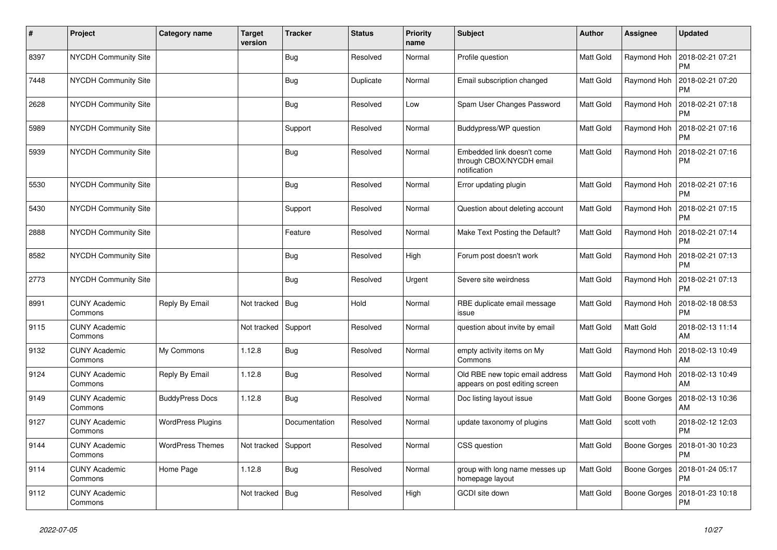| $\vert$ # | Project                         | Category name            | <b>Target</b><br>version | <b>Tracker</b> | <b>Status</b> | <b>Priority</b><br>name | <b>Subject</b>                                                         | <b>Author</b> | <b>Assignee</b> | <b>Updated</b>                |
|-----------|---------------------------------|--------------------------|--------------------------|----------------|---------------|-------------------------|------------------------------------------------------------------------|---------------|-----------------|-------------------------------|
| 8397      | <b>NYCDH Community Site</b>     |                          |                          | <b>Bug</b>     | Resolved      | Normal                  | Profile question                                                       | Matt Gold     | Raymond Hoh     | 2018-02-21 07:21<br><b>PM</b> |
| 7448      | <b>NYCDH Community Site</b>     |                          |                          | <b>Bug</b>     | Duplicate     | Normal                  | Email subscription changed                                             | Matt Gold     | Raymond Hoh     | 2018-02-21 07:20<br><b>PM</b> |
| 2628      | <b>NYCDH Community Site</b>     |                          |                          | Bug            | Resolved      | Low                     | Spam User Changes Password                                             | Matt Gold     | Raymond Hoh     | 2018-02-21 07:18<br><b>PM</b> |
| 5989      | <b>NYCDH Community Site</b>     |                          |                          | Support        | Resolved      | Normal                  | Buddypress/WP question                                                 | Matt Gold     | Raymond Hoh     | 2018-02-21 07:16<br><b>PM</b> |
| 5939      | <b>NYCDH Community Site</b>     |                          |                          | Bug            | Resolved      | Normal                  | Embedded link doesn't come<br>through CBOX/NYCDH email<br>notification | Matt Gold     | Raymond Hoh     | 2018-02-21 07:16<br><b>PM</b> |
| 5530      | <b>NYCDH Community Site</b>     |                          |                          | Bug            | Resolved      | Normal                  | Error updating plugin                                                  | Matt Gold     | Raymond Hoh     | 2018-02-21 07:16<br><b>PM</b> |
| 5430      | <b>NYCDH Community Site</b>     |                          |                          | Support        | Resolved      | Normal                  | Question about deleting account                                        | Matt Gold     | Raymond Hoh     | 2018-02-21 07:15<br><b>PM</b> |
| 2888      | <b>NYCDH Community Site</b>     |                          |                          | Feature        | Resolved      | Normal                  | Make Text Posting the Default?                                         | Matt Gold     | Raymond Hoh     | 2018-02-21 07:14<br><b>PM</b> |
| 8582      | <b>NYCDH Community Site</b>     |                          |                          | <b>Bug</b>     | Resolved      | High                    | Forum post doesn't work                                                | Matt Gold     | Raymond Hoh     | 2018-02-21 07:13<br>PM        |
| 2773      | <b>NYCDH Community Site</b>     |                          |                          | <b>Bug</b>     | Resolved      | Urgent                  | Severe site weirdness                                                  | Matt Gold     | Raymond Hoh     | 2018-02-21 07:13<br><b>PM</b> |
| 8991      | <b>CUNY Academic</b><br>Commons | Reply By Email           | Not tracked              | Bug            | Hold          | Normal                  | RBE duplicate email message<br>issue                                   | Matt Gold     | Raymond Hoh     | 2018-02-18 08:53<br><b>PM</b> |
| 9115      | <b>CUNY Academic</b><br>Commons |                          | Not tracked              | Support        | Resolved      | Normal                  | question about invite by email                                         | Matt Gold     | Matt Gold       | 2018-02-13 11:14<br>AM        |
| 9132      | <b>CUNY Academic</b><br>Commons | My Commons               | 1.12.8                   | <b>Bug</b>     | Resolved      | Normal                  | empty activity items on My<br>Commons                                  | Matt Gold     | Raymond Hoh     | 2018-02-13 10:49<br>AM        |
| 9124      | <b>CUNY Academic</b><br>Commons | Reply By Email           | 1.12.8                   | <b>Bug</b>     | Resolved      | Normal                  | Old RBE new topic email address<br>appears on post editing screen      | Matt Gold     | Raymond Hoh     | 2018-02-13 10:49<br>AM        |
| 9149      | <b>CUNY Academic</b><br>Commons | <b>BuddyPress Docs</b>   | 1.12.8                   | <b>Bug</b>     | Resolved      | Normal                  | Doc listing layout issue                                               | Matt Gold     | Boone Gorges    | 2018-02-13 10:36<br>AM        |
| 9127      | <b>CUNY Academic</b><br>Commons | <b>WordPress Plugins</b> |                          | Documentation  | Resolved      | Normal                  | update taxonomy of plugins                                             | Matt Gold     | scott voth      | 2018-02-12 12:03<br><b>PM</b> |
| 9144      | <b>CUNY Academic</b><br>Commons | <b>WordPress Themes</b>  | Not tracked              | Support        | Resolved      | Normal                  | CSS question                                                           | Matt Gold     | Boone Gorges    | 2018-01-30 10:23<br><b>PM</b> |
| 9114      | <b>CUNY Academic</b><br>Commons | Home Page                | 1.12.8                   | <b>Bug</b>     | Resolved      | Normal                  | group with long name messes up<br>homepage layout                      | Matt Gold     | Boone Gorges    | 2018-01-24 05:17<br><b>PM</b> |
| 9112      | <b>CUNY Academic</b><br>Commons |                          | Not tracked              | Bug            | Resolved      | High                    | GCDI site down                                                         | Matt Gold     | Boone Gorges    | 2018-01-23 10:18<br>PM        |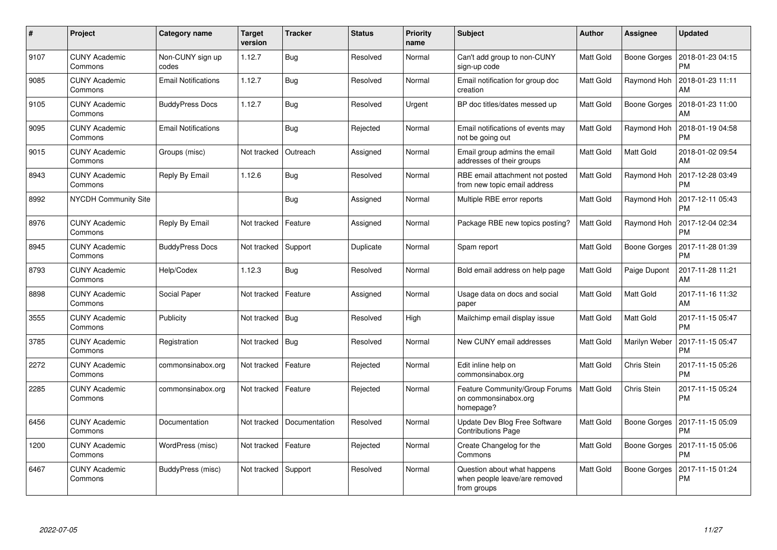| #    | Project                         | <b>Category name</b>       | <b>Target</b><br>version | <b>Tracker</b> | <b>Status</b> | <b>Priority</b><br>name | <b>Subject</b>                                                              | Author    | <b>Assignee</b>     | <b>Updated</b>                |
|------|---------------------------------|----------------------------|--------------------------|----------------|---------------|-------------------------|-----------------------------------------------------------------------------|-----------|---------------------|-------------------------------|
| 9107 | <b>CUNY Academic</b><br>Commons | Non-CUNY sign up<br>codes  | 1.12.7                   | Bug            | Resolved      | Normal                  | Can't add group to non-CUNY<br>sign-up code                                 | Matt Gold | Boone Gorges        | 2018-01-23 04:15<br><b>PM</b> |
| 9085 | <b>CUNY Academic</b><br>Commons | <b>Email Notifications</b> | 1.12.7                   | <b>Bug</b>     | Resolved      | Normal                  | Email notification for group doc<br>creation                                | Matt Gold | Raymond Hoh         | 2018-01-23 11:11<br>AM        |
| 9105 | <b>CUNY Academic</b><br>Commons | <b>BuddyPress Docs</b>     | 1.12.7                   | <b>Bug</b>     | Resolved      | Urgent                  | BP doc titles/dates messed up                                               | Matt Gold | Boone Gorges        | 2018-01-23 11:00<br>AM        |
| 9095 | <b>CUNY Academic</b><br>Commons | <b>Email Notifications</b> |                          | <b>Bug</b>     | Rejected      | Normal                  | Email notifications of events may<br>not be going out                       | Matt Gold | Raymond Hoh         | 2018-01-19 04:58<br><b>PM</b> |
| 9015 | <b>CUNY Academic</b><br>Commons | Groups (misc)              | Not tracked              | Outreach       | Assigned      | Normal                  | Email group admins the email<br>addresses of their groups                   | Matt Gold | Matt Gold           | 2018-01-02 09:54<br>AM        |
| 8943 | <b>CUNY Academic</b><br>Commons | Reply By Email             | 1.12.6                   | Bug            | Resolved      | Normal                  | RBE email attachment not posted<br>from new topic email address             | Matt Gold | Raymond Hoh         | 2017-12-28 03:49<br><b>PM</b> |
| 8992 | <b>NYCDH Community Site</b>     |                            |                          | Bug            | Assigned      | Normal                  | Multiple RBE error reports                                                  | Matt Gold | Raymond Hoh         | 2017-12-11 05:43<br><b>PM</b> |
| 8976 | <b>CUNY Academic</b><br>Commons | Reply By Email             | Not tracked              | Feature        | Assigned      | Normal                  | Package RBE new topics posting?                                             | Matt Gold | Raymond Hoh         | 2017-12-04 02:34<br><b>PM</b> |
| 8945 | <b>CUNY Academic</b><br>Commons | <b>BuddyPress Docs</b>     | Not tracked              | Support        | Duplicate     | Normal                  | Spam report                                                                 | Matt Gold | <b>Boone Gorges</b> | 2017-11-28 01:39<br><b>PM</b> |
| 8793 | <b>CUNY Academic</b><br>Commons | Help/Codex                 | 1.12.3                   | Bug            | Resolved      | Normal                  | Bold email address on help page                                             | Matt Gold | Paige Dupont        | 2017-11-28 11:21<br>AM        |
| 8898 | <b>CUNY Academic</b><br>Commons | Social Paper               | Not tracked              | Feature        | Assigned      | Normal                  | Usage data on docs and social<br>paper                                      | Matt Gold | Matt Gold           | 2017-11-16 11:32<br>AM        |
| 3555 | <b>CUNY Academic</b><br>Commons | Publicity                  | Not tracked              | Bug            | Resolved      | High                    | Mailchimp email display issue                                               | Matt Gold | Matt Gold           | 2017-11-15 05:47<br><b>PM</b> |
| 3785 | <b>CUNY Academic</b><br>Commons | Registration               | Not tracked              | Bug            | Resolved      | Normal                  | New CUNY email addresses                                                    | Matt Gold | Marilyn Weber       | 2017-11-15 05:47<br><b>PM</b> |
| 2272 | <b>CUNY Academic</b><br>Commons | commonsinabox.org          | Not tracked              | Feature        | Rejected      | Normal                  | Edit inline help on<br>commonsinabox.org                                    | Matt Gold | Chris Stein         | 2017-11-15 05:26<br><b>PM</b> |
| 2285 | <b>CUNY Academic</b><br>Commons | commonsinabox.org          | Not tracked              | Feature        | Rejected      | Normal                  | Feature Community/Group Forums<br>on commonsinabox.org<br>homepage?         | Matt Gold | Chris Stein         | 2017-11-15 05:24<br><b>PM</b> |
| 6456 | <b>CUNY Academic</b><br>Commons | Documentation              | Not tracked              | Documentation  | Resolved      | Normal                  | Update Dev Blog Free Software<br><b>Contributions Page</b>                  | Matt Gold | Boone Gorges        | 2017-11-15 05:09<br><b>PM</b> |
| 1200 | <b>CUNY Academic</b><br>Commons | WordPress (misc)           | Not tracked              | Feature        | Rejected      | Normal                  | Create Changelog for the<br>Commons                                         | Matt Gold | Boone Gorges        | 2017-11-15 05:06<br><b>PM</b> |
| 6467 | <b>CUNY Academic</b><br>Commons | BuddyPress (misc)          | Not tracked              | Support        | Resolved      | Normal                  | Question about what happens<br>when people leave/are removed<br>from groups | Matt Gold | <b>Boone Gorges</b> | 2017-11-15 01:24<br><b>PM</b> |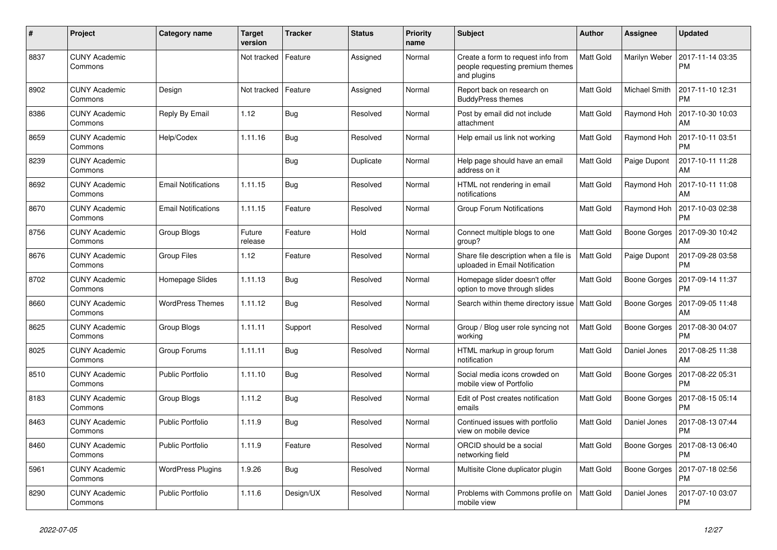| $\#$ | Project                         | Category name              | <b>Target</b><br>version | <b>Tracker</b> | <b>Status</b> | <b>Priority</b><br>name | <b>Subject</b>                                                                        | Author    | Assignee            | <b>Updated</b>                |
|------|---------------------------------|----------------------------|--------------------------|----------------|---------------|-------------------------|---------------------------------------------------------------------------------------|-----------|---------------------|-------------------------------|
| 8837 | <b>CUNY Academic</b><br>Commons |                            | Not tracked              | Feature        | Assigned      | Normal                  | Create a form to request info from<br>people requesting premium themes<br>and plugins | Matt Gold | Marilyn Weber       | 2017-11-14 03:35<br><b>PM</b> |
| 8902 | <b>CUNY Academic</b><br>Commons | Design                     | Not tracked              | Feature        | Assigned      | Normal                  | Report back on research on<br><b>BuddyPress themes</b>                                | Matt Gold | Michael Smith       | 2017-11-10 12:31<br><b>PM</b> |
| 8386 | <b>CUNY Academic</b><br>Commons | Reply By Email             | 1.12                     | Bug            | Resolved      | Normal                  | Post by email did not include<br>attachment                                           | Matt Gold | Raymond Hoh         | 2017-10-30 10:03<br>AM        |
| 8659 | <b>CUNY Academic</b><br>Commons | Help/Codex                 | 1.11.16                  | Bug            | Resolved      | Normal                  | Help email us link not working                                                        | Matt Gold | Raymond Hoh         | 2017-10-11 03:51<br><b>PM</b> |
| 8239 | <b>CUNY Academic</b><br>Commons |                            |                          | Bug            | Duplicate     | Normal                  | Help page should have an email<br>address on it                                       | Matt Gold | Paige Dupont        | 2017-10-11 11:28<br>AM        |
| 8692 | <b>CUNY Academic</b><br>Commons | <b>Email Notifications</b> | 1.11.15                  | Bug            | Resolved      | Normal                  | HTML not rendering in email<br>notifications                                          | Matt Gold | Raymond Hoh         | 2017-10-11 11:08<br>AM        |
| 8670 | <b>CUNY Academic</b><br>Commons | <b>Email Notifications</b> | 1.11.15                  | Feature        | Resolved      | Normal                  | Group Forum Notifications                                                             | Matt Gold | Raymond Hoh         | 2017-10-03 02:38<br><b>PM</b> |
| 8756 | <b>CUNY Academic</b><br>Commons | Group Blogs                | Future<br>release        | Feature        | Hold          | Normal                  | Connect multiple blogs to one<br>group?                                               | Matt Gold | Boone Gorges        | 2017-09-30 10:42<br>AM        |
| 8676 | <b>CUNY Academic</b><br>Commons | <b>Group Files</b>         | 1.12                     | Feature        | Resolved      | Normal                  | Share file description when a file is<br>uploaded in Email Notification               | Matt Gold | Paige Dupont        | 2017-09-28 03:58<br><b>PM</b> |
| 8702 | <b>CUNY Academic</b><br>Commons | Homepage Slides            | 1.11.13                  | Bug            | Resolved      | Normal                  | Homepage slider doesn't offer<br>option to move through slides                        | Matt Gold | <b>Boone Gorges</b> | 2017-09-14 11:37<br><b>PM</b> |
| 8660 | <b>CUNY Academic</b><br>Commons | <b>WordPress Themes</b>    | 1.11.12                  | <b>Bug</b>     | Resolved      | Normal                  | Search within theme directory issue   Matt Gold                                       |           | Boone Gorges        | 2017-09-05 11:48<br>AM        |
| 8625 | <b>CUNY Academic</b><br>Commons | Group Blogs                | 1.11.11                  | Support        | Resolved      | Normal                  | Group / Blog user role syncing not<br>working                                         | Matt Gold | Boone Gorges        | 2017-08-30 04:07<br><b>PM</b> |
| 8025 | <b>CUNY Academic</b><br>Commons | Group Forums               | 1.11.11                  | Bug            | Resolved      | Normal                  | HTML markup in group forum<br>notification                                            | Matt Gold | Daniel Jones        | 2017-08-25 11:38<br>AM        |
| 8510 | <b>CUNY Academic</b><br>Commons | <b>Public Portfolio</b>    | 1.11.10                  | Bug            | Resolved      | Normal                  | Social media icons crowded on<br>mobile view of Portfolio                             | Matt Gold | Boone Gorges        | 2017-08-22 05:31<br><b>PM</b> |
| 8183 | <b>CUNY Academic</b><br>Commons | Group Blogs                | 1.11.2                   | Bug            | Resolved      | Normal                  | Edit of Post creates notification<br>emails                                           | Matt Gold | Boone Gorges        | 2017-08-15 05:14<br><b>PM</b> |
| 8463 | <b>CUNY Academic</b><br>Commons | <b>Public Portfolio</b>    | 1.11.9                   | Bug            | Resolved      | Normal                  | Continued issues with portfolio<br>view on mobile device                              | Matt Gold | Daniel Jones        | 2017-08-13 07:44<br><b>PM</b> |
| 8460 | <b>CUNY Academic</b><br>Commons | <b>Public Portfolio</b>    | 1.11.9                   | Feature        | Resolved      | Normal                  | ORCID should be a social<br>networking field                                          | Matt Gold | Boone Gorges        | 2017-08-13 06:40<br><b>PM</b> |
| 5961 | <b>CUNY Academic</b><br>Commons | <b>WordPress Plugins</b>   | 1.9.26                   | Bug            | Resolved      | Normal                  | Multisite Clone duplicator plugin                                                     | Matt Gold | Boone Gorges        | 2017-07-18 02:56<br><b>PM</b> |
| 8290 | <b>CUNY Academic</b><br>Commons | <b>Public Portfolio</b>    | 1.11.6                   | Design/UX      | Resolved      | Normal                  | Problems with Commons profile on<br>mobile view                                       | Matt Gold | Daniel Jones        | 2017-07-10 03:07<br><b>PM</b> |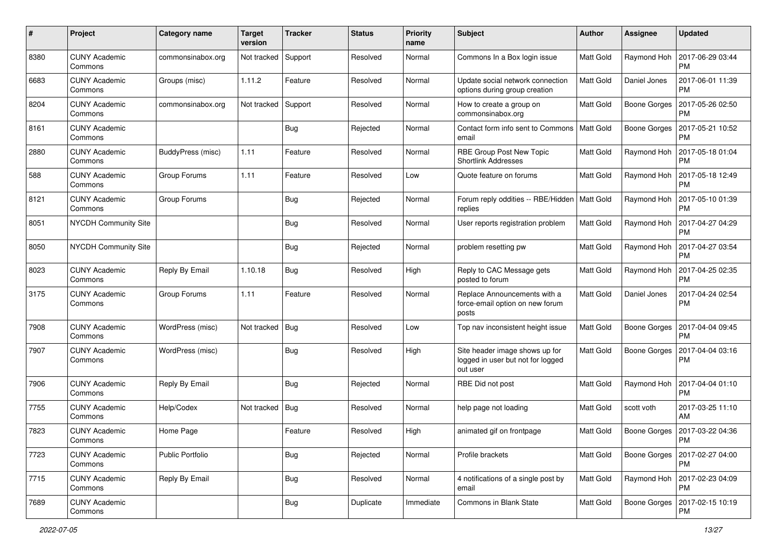| #    | Project                         | Category name     | <b>Target</b><br>version | <b>Tracker</b> | <b>Status</b> | <b>Priority</b><br>name | <b>Subject</b>                                                                  | Author           | <b>Assignee</b>     | <b>Updated</b>                |
|------|---------------------------------|-------------------|--------------------------|----------------|---------------|-------------------------|---------------------------------------------------------------------------------|------------------|---------------------|-------------------------------|
| 8380 | <b>CUNY Academic</b><br>Commons | commonsinabox.org | Not tracked              | Support        | Resolved      | Normal                  | Commons In a Box login issue                                                    | <b>Matt Gold</b> | Raymond Hoh         | 2017-06-29 03:44<br><b>PM</b> |
| 6683 | <b>CUNY Academic</b><br>Commons | Groups (misc)     | 1.11.2                   | Feature        | Resolved      | Normal                  | Update social network connection<br>options during group creation               | Matt Gold        | Daniel Jones        | 2017-06-01 11:39<br><b>PM</b> |
| 8204 | <b>CUNY Academic</b><br>Commons | commonsinabox.org | Not tracked              | Support        | Resolved      | Normal                  | How to create a group on<br>commonsinabox.org                                   | Matt Gold        | <b>Boone Gorges</b> | 2017-05-26 02:50<br><b>PM</b> |
| 8161 | <b>CUNY Academic</b><br>Commons |                   |                          | Bug            | Rejected      | Normal                  | Contact form info sent to Commons<br>email                                      | Matt Gold        | <b>Boone Gorges</b> | 2017-05-21 10:52<br><b>PM</b> |
| 2880 | <b>CUNY Academic</b><br>Commons | BuddyPress (misc) | 1.11                     | Feature        | Resolved      | Normal                  | RBE Group Post New Topic<br><b>Shortlink Addresses</b>                          | <b>Matt Gold</b> | Raymond Hoh         | 2017-05-18 01:04<br><b>PM</b> |
| 588  | <b>CUNY Academic</b><br>Commons | Group Forums      | 1.11                     | Feature        | Resolved      | Low                     | Quote feature on forums                                                         | Matt Gold        | Raymond Hoh         | 2017-05-18 12:49<br><b>PM</b> |
| 8121 | <b>CUNY Academic</b><br>Commons | Group Forums      |                          | Bug            | Rejected      | Normal                  | Forum reply oddities -- RBE/Hidden<br>replies                                   | Matt Gold        | Raymond Hoh         | 2017-05-10 01:39<br><b>PM</b> |
| 8051 | <b>NYCDH Community Site</b>     |                   |                          | <b>Bug</b>     | Resolved      | Normal                  | User reports registration problem                                               | Matt Gold        | Raymond Hoh         | 2017-04-27 04:29<br><b>PM</b> |
| 8050 | <b>NYCDH Community Site</b>     |                   |                          | <b>Bug</b>     | Rejected      | Normal                  | problem resetting pw                                                            | Matt Gold        | Raymond Hoh         | 2017-04-27 03:54<br><b>PM</b> |
| 8023 | <b>CUNY Academic</b><br>Commons | Reply By Email    | 1.10.18                  | Bug            | Resolved      | High                    | Reply to CAC Message gets<br>posted to forum                                    | Matt Gold        | Raymond Hoh         | 2017-04-25 02:35<br><b>PM</b> |
| 3175 | <b>CUNY Academic</b><br>Commons | Group Forums      | 1.11                     | Feature        | Resolved      | Normal                  | Replace Announcements with a<br>force-email option on new forum<br>posts        | Matt Gold        | Daniel Jones        | 2017-04-24 02:54<br><b>PM</b> |
| 7908 | <b>CUNY Academic</b><br>Commons | WordPress (misc)  | Not tracked              | Bug            | Resolved      | Low                     | Top nav inconsistent height issue                                               | Matt Gold        | <b>Boone Gorges</b> | 2017-04-04 09:45<br>PM        |
| 7907 | <b>CUNY Academic</b><br>Commons | WordPress (misc)  |                          | <b>Bug</b>     | Resolved      | High                    | Site header image shows up for<br>logged in user but not for logged<br>out user | Matt Gold        | <b>Boone Gorges</b> | 2017-04-04 03:16<br><b>PM</b> |
| 7906 | <b>CUNY Academic</b><br>Commons | Reply By Email    |                          | <b>Bug</b>     | Rejected      | Normal                  | RBE Did not post                                                                | Matt Gold        | Raymond Hoh         | 2017-04-04 01:10<br><b>PM</b> |
| 7755 | <b>CUNY Academic</b><br>Commons | Help/Codex        | Not tracked              | <b>Bug</b>     | Resolved      | Normal                  | help page not loading                                                           | Matt Gold        | scott voth          | 2017-03-25 11:10<br>AM        |
| 7823 | <b>CUNY Academic</b><br>Commons | Home Page         |                          | Feature        | Resolved      | High                    | animated gif on frontpage                                                       | Matt Gold        | Boone Gorges        | 2017-03-22 04:36<br>PM        |
| 7723 | <b>CUNY Academic</b><br>Commons | Public Portfolio  |                          | <b>Bug</b>     | Rejected      | Normal                  | Profile brackets                                                                | Matt Gold        | Boone Gorges        | 2017-02-27 04:00<br><b>PM</b> |
| 7715 | <b>CUNY Academic</b><br>Commons | Reply By Email    |                          | <b>Bug</b>     | Resolved      | Normal                  | 4 notifications of a single post by<br>email                                    | Matt Gold        | Raymond Hoh         | 2017-02-23 04:09<br><b>PM</b> |
| 7689 | <b>CUNY Academic</b><br>Commons |                   |                          | <b>Bug</b>     | Duplicate     | Immediate               | Commons in Blank State                                                          | Matt Gold        | Boone Gorges        | 2017-02-15 10:19<br><b>PM</b> |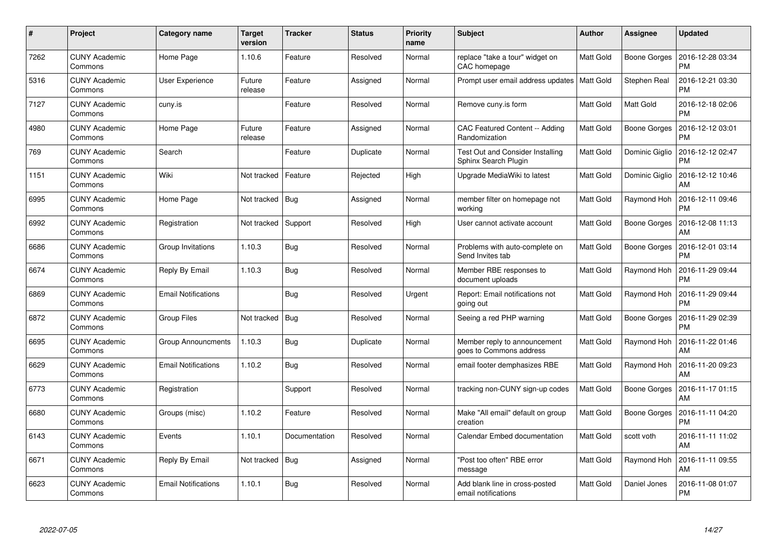| #    | Project                         | Category name              | <b>Target</b><br>version | <b>Tracker</b> | <b>Status</b> | <b>Priority</b><br>name | <b>Subject</b>                                                  | <b>Author</b> | Assignee            | <b>Updated</b>                |
|------|---------------------------------|----------------------------|--------------------------|----------------|---------------|-------------------------|-----------------------------------------------------------------|---------------|---------------------|-------------------------------|
| 7262 | <b>CUNY Academic</b><br>Commons | Home Page                  | 1.10.6                   | Feature        | Resolved      | Normal                  | replace "take a tour" widget on<br>CAC homepage                 | Matt Gold     | Boone Gorges        | 2016-12-28 03:34<br><b>PM</b> |
| 5316 | <b>CUNY Academic</b><br>Commons | User Experience            | Future<br>release        | Feature        | Assigned      | Normal                  | Prompt user email address updates   Matt Gold                   |               | <b>Stephen Real</b> | 2016-12-21 03:30<br><b>PM</b> |
| 7127 | <b>CUNY Academic</b><br>Commons | cuny.is                    |                          | Feature        | Resolved      | Normal                  | Remove cuny is form                                             | Matt Gold     | Matt Gold           | 2016-12-18 02:06<br><b>PM</b> |
| 4980 | <b>CUNY Academic</b><br>Commons | Home Page                  | Future<br>release        | Feature        | Assigned      | Normal                  | CAC Featured Content -- Adding<br>Randomization                 | Matt Gold     | Boone Gorges        | 2016-12-12 03:01<br><b>PM</b> |
| 769  | <b>CUNY Academic</b><br>Commons | Search                     |                          | Feature        | Duplicate     | Normal                  | <b>Test Out and Consider Installing</b><br>Sphinx Search Plugin | Matt Gold     | Dominic Giglio      | 2016-12-12 02:47<br><b>PM</b> |
| 1151 | <b>CUNY Academic</b><br>Commons | Wiki                       | Not tracked              | Feature        | Rejected      | High                    | Upgrade MediaWiki to latest                                     | Matt Gold     | Dominic Giglio      | 2016-12-12 10:46<br>AM        |
| 6995 | <b>CUNY Academic</b><br>Commons | Home Page                  | Not tracked              | Bug            | Assigned      | Normal                  | member filter on homepage not<br>working                        | Matt Gold     | Raymond Hoh         | 2016-12-11 09:46<br><b>PM</b> |
| 6992 | <b>CUNY Academic</b><br>Commons | Registration               | Not tracked              | Support        | Resolved      | High                    | User cannot activate account                                    | Matt Gold     | Boone Gorges        | 2016-12-08 11:13<br>AM        |
| 6686 | <b>CUNY Academic</b><br>Commons | Group Invitations          | 1.10.3                   | Bug            | Resolved      | Normal                  | Problems with auto-complete on<br>Send Invites tab              | Matt Gold     | Boone Gorges        | 2016-12-01 03:14<br><b>PM</b> |
| 6674 | <b>CUNY Academic</b><br>Commons | Reply By Email             | 1.10.3                   | Bug            | Resolved      | Normal                  | Member RBE responses to<br>document uploads                     | Matt Gold     | Raymond Hoh         | 2016-11-29 09:44<br><b>PM</b> |
| 6869 | <b>CUNY Academic</b><br>Commons | <b>Email Notifications</b> |                          | <b>Bug</b>     | Resolved      | Urgent                  | Report: Email notifications not<br>going out                    | Matt Gold     | Raymond Hoh         | 2016-11-29 09:44<br><b>PM</b> |
| 6872 | <b>CUNY Academic</b><br>Commons | Group Files                | Not tracked              | <b>Bug</b>     | Resolved      | Normal                  | Seeing a red PHP warning                                        | Matt Gold     | Boone Gorges        | 2016-11-29 02:39<br><b>PM</b> |
| 6695 | <b>CUNY Academic</b><br>Commons | <b>Group Announcments</b>  | 1.10.3                   | <b>Bug</b>     | Duplicate     | Normal                  | Member reply to announcement<br>goes to Commons address         | Matt Gold     | Raymond Hoh         | 2016-11-22 01:46<br>AM        |
| 6629 | <b>CUNY Academic</b><br>Commons | <b>Email Notifications</b> | 1.10.2                   | Bug            | Resolved      | Normal                  | email footer demphasizes RBE                                    | Matt Gold     | Raymond Hoh         | 2016-11-20 09:23<br>AM        |
| 6773 | <b>CUNY Academic</b><br>Commons | Registration               |                          | Support        | Resolved      | Normal                  | tracking non-CUNY sign-up codes                                 | Matt Gold     | Boone Gorges        | 2016-11-17 01:15<br>AM        |
| 6680 | <b>CUNY Academic</b><br>Commons | Groups (misc)              | 1.10.2                   | Feature        | Resolved      | Normal                  | Make "All email" default on group<br>creation                   | Matt Gold     | Boone Gorges        | 2016-11-11 04:20<br><b>PM</b> |
| 6143 | <b>CUNY Academic</b><br>Commons | Events                     | 1.10.1                   | Documentation  | Resolved      | Normal                  | Calendar Embed documentation                                    | Matt Gold     | scott voth          | 2016-11-11 11:02<br>AM        |
| 6671 | <b>CUNY Academic</b><br>Commons | Reply By Email             | Not tracked              | Bug            | Assigned      | Normal                  | 'Post too often" RBE error<br>message                           | Matt Gold     | Raymond Hoh         | 2016-11-11 09:55<br>AM        |
| 6623 | CUNY Academic<br>Commons        | <b>Email Notifications</b> | 1.10.1                   | <b>Bug</b>     | Resolved      | Normal                  | Add blank line in cross-posted<br>email notifications           | Matt Gold     | Daniel Jones        | 2016-11-08 01:07<br>PM        |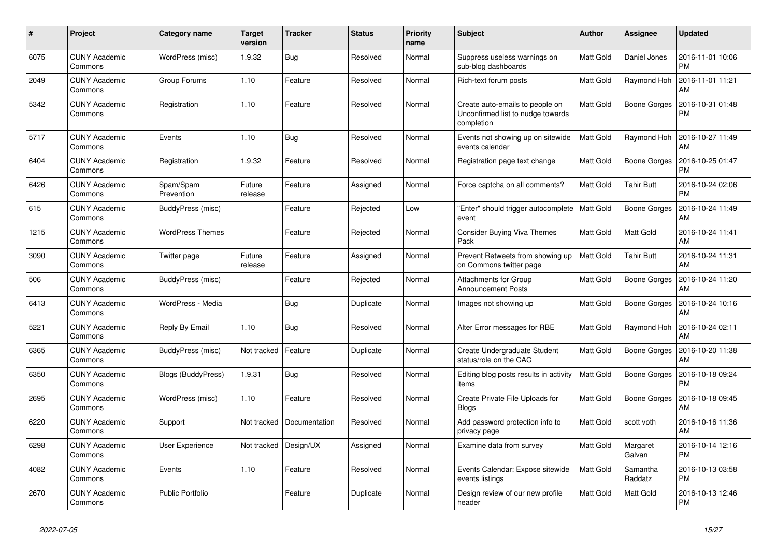| #    | Project                         | Category name            | <b>Target</b><br>version | <b>Tracker</b> | <b>Status</b> | Priority<br>name | <b>Subject</b>                                                                     | Author           | <b>Assignee</b>     | <b>Updated</b>                |
|------|---------------------------------|--------------------------|--------------------------|----------------|---------------|------------------|------------------------------------------------------------------------------------|------------------|---------------------|-------------------------------|
| 6075 | <b>CUNY Academic</b><br>Commons | WordPress (misc)         | 1.9.32                   | Bug            | Resolved      | Normal           | Suppress useless warnings on<br>sub-blog dashboards                                | Matt Gold        | Daniel Jones        | 2016-11-01 10:06<br><b>PM</b> |
| 2049 | <b>CUNY Academic</b><br>Commons | Group Forums             | 1.10                     | Feature        | Resolved      | Normal           | Rich-text forum posts                                                              | Matt Gold        | Raymond Hoh         | 2016-11-01 11:21<br>AM        |
| 5342 | <b>CUNY Academic</b><br>Commons | Registration             | 1.10                     | Feature        | Resolved      | Normal           | Create auto-emails to people on<br>Unconfirmed list to nudge towards<br>completion | Matt Gold        | <b>Boone Gorges</b> | 2016-10-31 01:48<br><b>PM</b> |
| 5717 | <b>CUNY Academic</b><br>Commons | Events                   | 1.10                     | Bug            | Resolved      | Normal           | Events not showing up on sitewide<br>events calendar                               | <b>Matt Gold</b> | Raymond Hoh         | 2016-10-27 11:49<br>AM        |
| 6404 | <b>CUNY Academic</b><br>Commons | Registration             | 1.9.32                   | Feature        | Resolved      | Normal           | Registration page text change                                                      | Matt Gold        | Boone Gorges        | 2016-10-25 01:47<br><b>PM</b> |
| 6426 | <b>CUNY Academic</b><br>Commons | Spam/Spam<br>Prevention  | Future<br>release        | Feature        | Assigned      | Normal           | Force captcha on all comments?                                                     | Matt Gold        | <b>Tahir Butt</b>   | 2016-10-24 02:06<br><b>PM</b> |
| 615  | <b>CUNY Academic</b><br>Commons | BuddyPress (misc)        |                          | Feature        | Rejected      | Low              | 'Enter" should trigger autocomplete<br>event                                       | Matt Gold        | <b>Boone Gorges</b> | 2016-10-24 11:49<br>AM        |
| 1215 | <b>CUNY Academic</b><br>Commons | <b>WordPress Themes</b>  |                          | Feature        | Rejected      | Normal           | Consider Buying Viva Themes<br>Pack                                                | Matt Gold        | Matt Gold           | 2016-10-24 11:41<br>AM        |
| 3090 | <b>CUNY Academic</b><br>Commons | Twitter page             | Future<br>release        | Feature        | Assigned      | Normal           | Prevent Retweets from showing up<br>on Commons twitter page                        | Matt Gold        | <b>Tahir Butt</b>   | 2016-10-24 11:31<br>AM        |
| 506  | <b>CUNY Academic</b><br>Commons | <b>BuddyPress (misc)</b> |                          | Feature        | Rejected      | Normal           | Attachments for Group<br><b>Announcement Posts</b>                                 | Matt Gold        | <b>Boone Gorges</b> | 2016-10-24 11:20<br>AM        |
| 6413 | <b>CUNY Academic</b><br>Commons | WordPress - Media        |                          | Bug            | Duplicate     | Normal           | Images not showing up                                                              | Matt Gold        | Boone Gorges        | 2016-10-24 10:16<br>AM        |
| 5221 | <b>CUNY Academic</b><br>Commons | Reply By Email           | 1.10                     | <b>Bug</b>     | Resolved      | Normal           | Alter Error messages for RBE                                                       | Matt Gold        | Raymond Hoh         | 2016-10-24 02:11<br>AM        |
| 6365 | <b>CUNY Academic</b><br>Commons | BuddyPress (misc)        | Not tracked              | Feature        | Duplicate     | Normal           | Create Undergraduate Student<br>status/role on the CAC                             | Matt Gold        | <b>Boone Gorges</b> | 2016-10-20 11:38<br>AM        |
| 6350 | <b>CUNY Academic</b><br>Commons | Blogs (BuddyPress)       | 1.9.31                   | Bug            | Resolved      | Normal           | Editing blog posts results in activity<br>items                                    | Matt Gold        | Boone Gorges        | 2016-10-18 09:24<br><b>PM</b> |
| 2695 | <b>CUNY Academic</b><br>Commons | WordPress (misc)         | 1.10                     | Feature        | Resolved      | Normal           | Create Private File Uploads for<br><b>Blogs</b>                                    | Matt Gold        | Boone Gorges        | 2016-10-18 09:45<br>AM        |
| 6220 | <b>CUNY Academic</b><br>Commons | Support                  | Not tracked              | Documentation  | Resolved      | Normal           | Add password protection info to<br>privacy page                                    | Matt Gold        | scott voth          | 2016-10-16 11:36<br>AM        |
| 6298 | <b>CUNY Academic</b><br>Commons | User Experience          | Not tracked              | Design/UX      | Assigned      | Normal           | Examine data from survey                                                           | Matt Gold        | Margaret<br>Galvan  | 2016-10-14 12:16<br><b>PM</b> |
| 4082 | <b>CUNY Academic</b><br>Commons | Events                   | 1.10                     | Feature        | Resolved      | Normal           | Events Calendar: Expose sitewide<br>events listings                                | <b>Matt Gold</b> | Samantha<br>Raddatz | 2016-10-13 03:58<br><b>PM</b> |
| 2670 | <b>CUNY Academic</b><br>Commons | <b>Public Portfolio</b>  |                          | Feature        | Duplicate     | Normal           | Design review of our new profile<br>header                                         | Matt Gold        | Matt Gold           | 2016-10-13 12:46<br><b>PM</b> |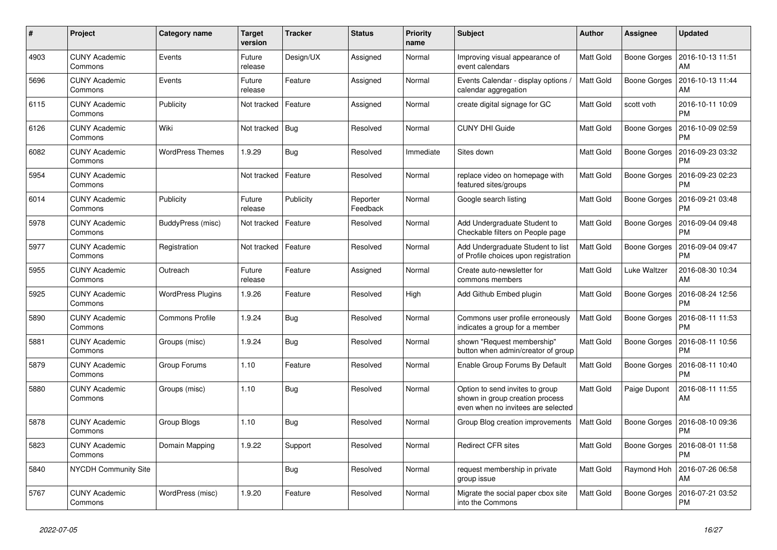| #    | Project                         | Category name            | <b>Target</b><br>version | <b>Tracker</b> | <b>Status</b>        | <b>Priority</b><br>name | <b>Subject</b>                                                                                           | <b>Author</b> | Assignee            | <b>Updated</b>                |
|------|---------------------------------|--------------------------|--------------------------|----------------|----------------------|-------------------------|----------------------------------------------------------------------------------------------------------|---------------|---------------------|-------------------------------|
| 4903 | <b>CUNY Academic</b><br>Commons | Events                   | Future<br>release        | Design/UX      | Assigned             | Normal                  | Improving visual appearance of<br>event calendars                                                        | Matt Gold     | Boone Gorges        | 2016-10-13 11:51<br>AM        |
| 5696 | <b>CUNY Academic</b><br>Commons | Events                   | Future<br>release        | Feature        | Assigned             | Normal                  | Events Calendar - display options /<br>calendar aggregation                                              | Matt Gold     | <b>Boone Gorges</b> | 2016-10-13 11:44<br>AM        |
| 6115 | <b>CUNY Academic</b><br>Commons | Publicity                | Not tracked              | Feature        | Assigned             | Normal                  | create digital signage for GC                                                                            | Matt Gold     | scott voth          | 2016-10-11 10:09<br><b>PM</b> |
| 6126 | <b>CUNY Academic</b><br>Commons | Wiki                     | Not tracked              | Bug            | Resolved             | Normal                  | <b>CUNY DHI Guide</b>                                                                                    | Matt Gold     | Boone Gorges        | 2016-10-09 02:59<br><b>PM</b> |
| 6082 | <b>CUNY Academic</b><br>Commons | <b>WordPress Themes</b>  | 1.9.29                   | Bug            | Resolved             | Immediate               | Sites down                                                                                               | Matt Gold     | <b>Boone Gorges</b> | 2016-09-23 03:32<br><b>PM</b> |
| 5954 | <b>CUNY Academic</b><br>Commons |                          | Not tracked              | Feature        | Resolved             | Normal                  | replace video on homepage with<br>featured sites/groups                                                  | Matt Gold     | Boone Gorges        | 2016-09-23 02:23<br><b>PM</b> |
| 6014 | <b>CUNY Academic</b><br>Commons | Publicity                | Future<br>release        | Publicity      | Reporter<br>Feedback | Normal                  | Google search listing                                                                                    | Matt Gold     | Boone Gorges        | 2016-09-21 03:48<br><b>PM</b> |
| 5978 | <b>CUNY Academic</b><br>Commons | BuddyPress (misc)        | Not tracked              | Feature        | Resolved             | Normal                  | Add Undergraduate Student to<br>Checkable filters on People page                                         | Matt Gold     | Boone Gorges        | 2016-09-04 09:48<br><b>PM</b> |
| 5977 | <b>CUNY Academic</b><br>Commons | Registration             | Not tracked              | Feature        | Resolved             | Normal                  | Add Undergraduate Student to list<br>of Profile choices upon registration                                | Matt Gold     | <b>Boone Gorges</b> | 2016-09-04 09:47<br><b>PM</b> |
| 5955 | <b>CUNY Academic</b><br>Commons | Outreach                 | Future<br>release        | Feature        | Assigned             | Normal                  | Create auto-newsletter for<br>commons members                                                            | Matt Gold     | Luke Waltzer        | 2016-08-30 10:34<br>AM        |
| 5925 | <b>CUNY Academic</b><br>Commons | <b>WordPress Plugins</b> | 1.9.26                   | Feature        | Resolved             | High                    | Add Github Embed plugin                                                                                  | Matt Gold     | <b>Boone Gorges</b> | 2016-08-24 12:56<br><b>PM</b> |
| 5890 | <b>CUNY Academic</b><br>Commons | <b>Commons Profile</b>   | 1.9.24                   | Bug            | Resolved             | Normal                  | Commons user profile erroneously<br>indicates a group for a member                                       | Matt Gold     | <b>Boone Gorges</b> | 2016-08-11 11:53<br><b>PM</b> |
| 5881 | <b>CUNY Academic</b><br>Commons | Groups (misc)            | 1.9.24                   | Bug            | Resolved             | Normal                  | shown "Request membership"<br>button when admin/creator of group                                         | Matt Gold     | Boone Gorges        | 2016-08-11 10:56<br><b>PM</b> |
| 5879 | <b>CUNY Academic</b><br>Commons | Group Forums             | 1.10                     | Feature        | Resolved             | Normal                  | Enable Group Forums By Default                                                                           | Matt Gold     | Boone Gorges        | 2016-08-11 10:40<br><b>PM</b> |
| 5880 | <b>CUNY Academic</b><br>Commons | Groups (misc)            | 1.10                     | Bug            | Resolved             | Normal                  | Option to send invites to group<br>shown in group creation process<br>even when no invitees are selected | Matt Gold     | Paige Dupont        | 2016-08-11 11:55<br>AM        |
| 5878 | <b>CUNY Academic</b><br>Commons | Group Blogs              | 1.10                     | <b>Bug</b>     | Resolved             | Normal                  | Group Blog creation improvements                                                                         | Matt Gold     | Boone Gorges        | 2016-08-10 09:36<br><b>PM</b> |
| 5823 | <b>CUNY Academic</b><br>Commons | Domain Mapping           | 1.9.22                   | Support        | Resolved             | Normal                  | <b>Redirect CFR sites</b>                                                                                | Matt Gold     | Boone Gorges        | 2016-08-01 11:58<br><b>PM</b> |
| 5840 | <b>NYCDH Community Site</b>     |                          |                          | <b>Bug</b>     | Resolved             | Normal                  | request membership in private<br>group issue                                                             | Matt Gold     | Raymond Hoh         | 2016-07-26 06:58<br>AM        |
| 5767 | <b>CUNY Academic</b><br>Commons | WordPress (misc)         | 1.9.20                   | Feature        | Resolved             | Normal                  | Migrate the social paper cbox site<br>into the Commons                                                   | Matt Gold     | <b>Boone Gorges</b> | 2016-07-21 03:52<br><b>PM</b> |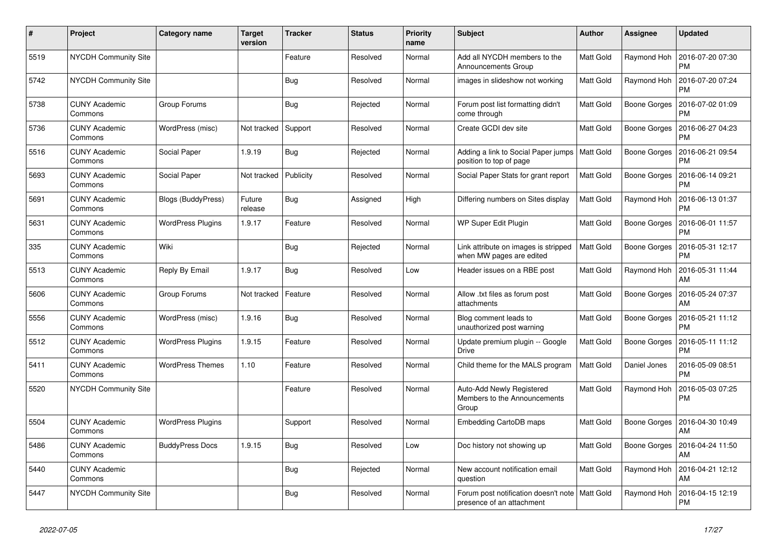| #    | Project                         | <b>Category name</b>      | <b>Target</b><br>version | <b>Tracker</b> | <b>Status</b> | <b>Priority</b><br>name | <b>Subject</b>                                                                | <b>Author</b> | <b>Assignee</b> | <b>Updated</b>                |
|------|---------------------------------|---------------------------|--------------------------|----------------|---------------|-------------------------|-------------------------------------------------------------------------------|---------------|-----------------|-------------------------------|
| 5519 | NYCDH Community Site            |                           |                          | Feature        | Resolved      | Normal                  | Add all NYCDH members to the<br>Announcements Group                           | Matt Gold     | Raymond Hoh     | 2016-07-20 07:30<br><b>PM</b> |
| 5742 | <b>NYCDH Community Site</b>     |                           |                          | <b>Bug</b>     | Resolved      | Normal                  | images in slideshow not working                                               | Matt Gold     | Raymond Hoh     | 2016-07-20 07:24<br><b>PM</b> |
| 5738 | <b>CUNY Academic</b><br>Commons | Group Forums              |                          | <b>Bug</b>     | Rejected      | Normal                  | Forum post list formatting didn't<br>come through                             | Matt Gold     | Boone Gorges    | 2016-07-02 01:09<br><b>PM</b> |
| 5736 | <b>CUNY Academic</b><br>Commons | WordPress (misc)          | Not tracked              | Support        | Resolved      | Normal                  | Create GCDI dev site                                                          | Matt Gold     | Boone Gorges    | 2016-06-27 04:23<br><b>PM</b> |
| 5516 | <b>CUNY Academic</b><br>Commons | Social Paper              | 1.9.19                   | Bug            | Rejected      | Normal                  | Adding a link to Social Paper jumps<br>position to top of page                | Matt Gold     | Boone Gorges    | 2016-06-21 09:54<br><b>PM</b> |
| 5693 | <b>CUNY Academic</b><br>Commons | Social Paper              | Not tracked              | Publicity      | Resolved      | Normal                  | Social Paper Stats for grant report                                           | Matt Gold     | Boone Gorges    | 2016-06-14 09:21<br><b>PM</b> |
| 5691 | <b>CUNY Academic</b><br>Commons | <b>Blogs (BuddyPress)</b> | Future<br>release        | Bug            | Assigned      | High                    | Differing numbers on Sites display                                            | Matt Gold     | Raymond Hoh     | 2016-06-13 01:37<br><b>PM</b> |
| 5631 | <b>CUNY Academic</b><br>Commons | <b>WordPress Plugins</b>  | 1.9.17                   | Feature        | Resolved      | Normal                  | WP Super Edit Plugin                                                          | Matt Gold     | Boone Gorges    | 2016-06-01 11:57<br><b>PM</b> |
| 335  | <b>CUNY Academic</b><br>Commons | Wiki                      |                          | Bug            | Rejected      | Normal                  | Link attribute on images is stripped<br>when MW pages are edited              | Matt Gold     | Boone Gorges    | 2016-05-31 12:17<br><b>PM</b> |
| 5513 | <b>CUNY Academic</b><br>Commons | Reply By Email            | 1.9.17                   | <b>Bug</b>     | Resolved      | Low                     | Header issues on a RBE post                                                   | Matt Gold     | Raymond Hoh     | 2016-05-31 11:44<br>AM        |
| 5606 | <b>CUNY Academic</b><br>Commons | Group Forums              | Not tracked              | Feature        | Resolved      | Normal                  | Allow .txt files as forum post<br>attachments                                 | Matt Gold     | Boone Gorges    | 2016-05-24 07:37<br>AM        |
| 5556 | <b>CUNY Academic</b><br>Commons | WordPress (misc)          | 1.9.16                   | Bug            | Resolved      | Normal                  | Blog comment leads to<br>unauthorized post warning                            | Matt Gold     | Boone Gorges    | 2016-05-21 11:12<br><b>PM</b> |
| 5512 | <b>CUNY Academic</b><br>Commons | <b>WordPress Plugins</b>  | 1.9.15                   | Feature        | Resolved      | Normal                  | Update premium plugin -- Google<br><b>Drive</b>                               | Matt Gold     | Boone Gorges    | 2016-05-11 11:12<br><b>PM</b> |
| 5411 | <b>CUNY Academic</b><br>Commons | <b>WordPress Themes</b>   | 1.10                     | Feature        | Resolved      | Normal                  | Child theme for the MALS program                                              | Matt Gold     | Daniel Jones    | 2016-05-09 08:51<br><b>PM</b> |
| 5520 | NYCDH Community Site            |                           |                          | Feature        | Resolved      | Normal                  | Auto-Add Newly Registered<br>Members to the Announcements<br>Group            | Matt Gold     | Raymond Hoh     | 2016-05-03 07:25<br>PM        |
| 5504 | <b>CUNY Academic</b><br>Commons | <b>WordPress Plugins</b>  |                          | Support        | Resolved      | Normal                  | Embedding CartoDB maps                                                        | Matt Gold     | Boone Gorges    | 2016-04-30 10:49<br>AM        |
| 5486 | <b>CUNY Academic</b><br>Commons | <b>BuddyPress Docs</b>    | 1.9.15                   | Bug            | Resolved      | Low                     | Doc history not showing up                                                    | Matt Gold     | Boone Gorges    | 2016-04-24 11:50<br>AM        |
| 5440 | <b>CUNY Academic</b><br>Commons |                           |                          | <b>Bug</b>     | Rejected      | Normal                  | New account notification email<br>question                                    | Matt Gold     | Raymond Hoh     | 2016-04-21 12:12<br>AM        |
| 5447 | <b>NYCDH Community Site</b>     |                           |                          | <b>Bug</b>     | Resolved      | Normal                  | Forum post notification doesn't note   Matt Gold<br>presence of an attachment |               | Raymond Hoh     | 2016-04-15 12:19<br><b>PM</b> |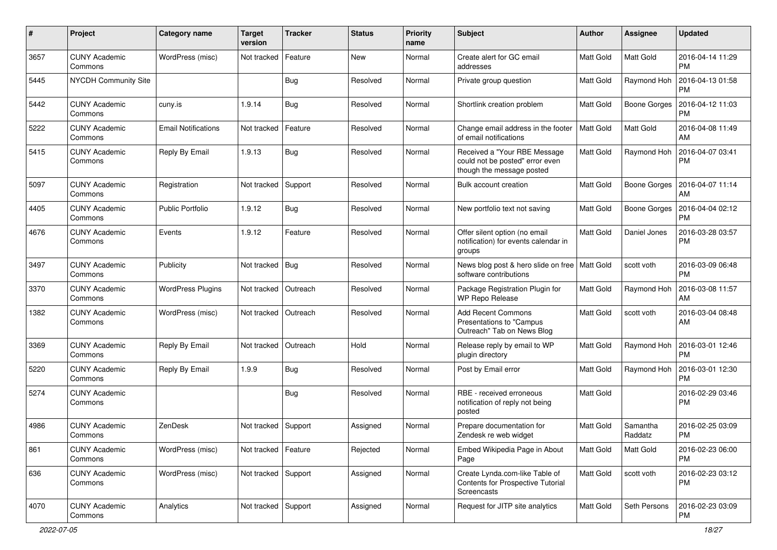| $\pmb{\#}$ | Project                         | <b>Category name</b>       | <b>Target</b><br>version | <b>Tracker</b> | <b>Status</b> | <b>Priority</b><br>name | Subject                                                                                      | Author           | Assignee            | <b>Updated</b>                |
|------------|---------------------------------|----------------------------|--------------------------|----------------|---------------|-------------------------|----------------------------------------------------------------------------------------------|------------------|---------------------|-------------------------------|
| 3657       | <b>CUNY Academic</b><br>Commons | WordPress (misc)           | Not tracked              | Feature        | <b>New</b>    | Normal                  | Create alert for GC email<br>addresses                                                       | Matt Gold        | Matt Gold           | 2016-04-14 11:29<br><b>PM</b> |
| 5445       | <b>NYCDH Community Site</b>     |                            |                          | <b>Bug</b>     | Resolved      | Normal                  | Private group question                                                                       | Matt Gold        | Raymond Hoh         | 2016-04-13 01:58<br><b>PM</b> |
| 5442       | <b>CUNY Academic</b><br>Commons | cuny.is                    | 1.9.14                   | Bug            | Resolved      | Normal                  | Shortlink creation problem                                                                   | Matt Gold        | <b>Boone Gorges</b> | 2016-04-12 11:03<br><b>PM</b> |
| 5222       | <b>CUNY Academic</b><br>Commons | <b>Email Notifications</b> | Not tracked              | Feature        | Resolved      | Normal                  | Change email address in the footer<br>of email notifications                                 | <b>Matt Gold</b> | <b>Matt Gold</b>    | 2016-04-08 11:49<br>AM        |
| 5415       | <b>CUNY Academic</b><br>Commons | Reply By Email             | 1.9.13                   | Bug            | Resolved      | Normal                  | Received a "Your RBE Message<br>could not be posted" error even<br>though the message posted | Matt Gold        | Raymond Hoh         | 2016-04-07 03:41<br><b>PM</b> |
| 5097       | <b>CUNY Academic</b><br>Commons | Registration               | Not tracked              | Support        | Resolved      | Normal                  | Bulk account creation                                                                        | Matt Gold        | Boone Gorges        | 2016-04-07 11:14<br>AM        |
| 4405       | <b>CUNY Academic</b><br>Commons | <b>Public Portfolio</b>    | 1.9.12                   | Bug            | Resolved      | Normal                  | New portfolio text not saving                                                                | Matt Gold        | Boone Gorges        | 2016-04-04 02:12<br>PM        |
| 4676       | <b>CUNY Academic</b><br>Commons | Events                     | 1.9.12                   | Feature        | Resolved      | Normal                  | Offer silent option (no email<br>notification) for events calendar in<br>groups              | Matt Gold        | Daniel Jones        | 2016-03-28 03:57<br><b>PM</b> |
| 3497       | <b>CUNY Academic</b><br>Commons | Publicity                  | Not tracked              | Bug            | Resolved      | Normal                  | News blog post & hero slide on free   Matt Gold<br>software contributions                    |                  | scott voth          | 2016-03-09 06:48<br><b>PM</b> |
| 3370       | <b>CUNY Academic</b><br>Commons | <b>WordPress Plugins</b>   | Not tracked              | Outreach       | Resolved      | Normal                  | Package Registration Plugin for<br><b>WP Repo Release</b>                                    | Matt Gold        | Raymond Hoh         | 2016-03-08 11:57<br>AM        |
| 1382       | <b>CUNY Academic</b><br>Commons | WordPress (misc)           | Not tracked              | Outreach       | Resolved      | Normal                  | <b>Add Recent Commons</b><br>Presentations to "Campus<br>Outreach" Tab on News Blog          | Matt Gold        | scott voth          | 2016-03-04 08:48<br>AM        |
| 3369       | <b>CUNY Academic</b><br>Commons | Reply By Email             | Not tracked              | Outreach       | Hold          | Normal                  | Release reply by email to WP<br>plugin directory                                             | Matt Gold        | Raymond Hoh         | 2016-03-01 12:46<br><b>PM</b> |
| 5220       | <b>CUNY Academic</b><br>Commons | Reply By Email             | 1.9.9                    | Bug            | Resolved      | Normal                  | Post by Email error                                                                          | Matt Gold        | Raymond Hoh         | 2016-03-01 12:30<br><b>PM</b> |
| 5274       | <b>CUNY Academic</b><br>Commons |                            |                          | <b>Bug</b>     | Resolved      | Normal                  | RBE - received erroneous<br>notification of reply not being<br>posted                        | Matt Gold        |                     | 2016-02-29 03:46<br><b>PM</b> |
| 4986       | <b>CUNY Academic</b><br>Commons | ZenDesk                    | Not tracked              | Support        | Assigned      | Normal                  | Prepare documentation for<br>Zendesk re web widget                                           | Matt Gold        | Samantha<br>Raddatz | 2016-02-25 03:09<br><b>PM</b> |
| 861        | <b>CUNY Academic</b><br>Commons | WordPress (misc)           | Not tracked              | Feature        | Rejected      | Normal                  | Embed Wikipedia Page in About<br>Page                                                        | Matt Gold        | Matt Gold           | 2016-02-23 06:00<br>PM        |
| 636        | <b>CUNY Academic</b><br>Commons | WordPress (misc)           | Not tracked Support      |                | Assigned      | Normal                  | Create Lynda.com-like Table of<br>Contents for Prospective Tutorial<br>Screencasts           | Matt Gold        | scott voth          | 2016-02-23 03:12<br><b>PM</b> |
| 4070       | <b>CUNY Academic</b><br>Commons | Analytics                  | Not tracked Support      |                | Assigned      | Normal                  | Request for JITP site analytics                                                              | Matt Gold        | Seth Persons        | 2016-02-23 03:09<br><b>PM</b> |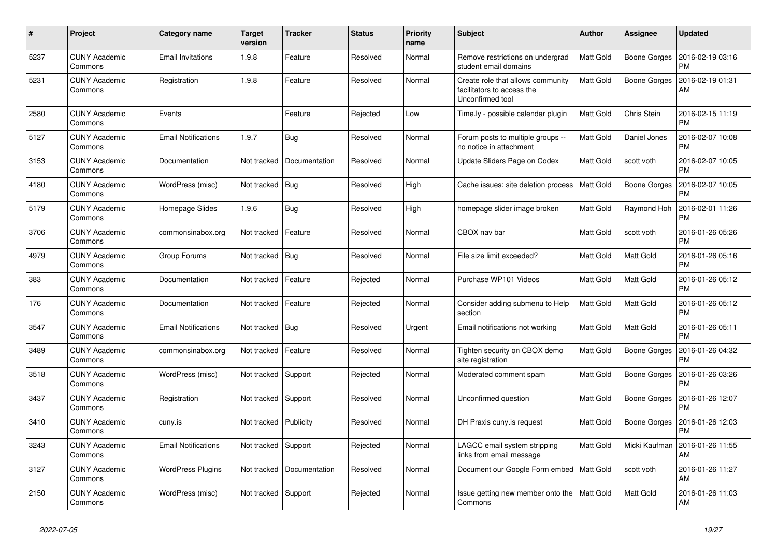| #    | Project                         | Category name              | <b>Target</b><br>version | <b>Tracker</b> | <b>Status</b> | <b>Priority</b><br>name | <b>Subject</b>                                                                      | Author           | <b>Assignee</b>     | <b>Updated</b>                |
|------|---------------------------------|----------------------------|--------------------------|----------------|---------------|-------------------------|-------------------------------------------------------------------------------------|------------------|---------------------|-------------------------------|
| 5237 | <b>CUNY Academic</b><br>Commons | <b>Email Invitations</b>   | 1.9.8                    | Feature        | Resolved      | Normal                  | Remove restrictions on undergrad<br>student email domains                           | Matt Gold        | Boone Gorges        | 2016-02-19 03:16<br><b>PM</b> |
| 5231 | <b>CUNY Academic</b><br>Commons | Registration               | 1.9.8                    | Feature        | Resolved      | Normal                  | Create role that allows community<br>facilitators to access the<br>Unconfirmed tool | Matt Gold        | <b>Boone Gorges</b> | 2016-02-19 01:31<br>AM        |
| 2580 | <b>CUNY Academic</b><br>Commons | Events                     |                          | Feature        | Rejected      | Low                     | Time.ly - possible calendar plugin                                                  | <b>Matt Gold</b> | Chris Stein         | 2016-02-15 11:19<br><b>PM</b> |
| 5127 | <b>CUNY Academic</b><br>Commons | <b>Email Notifications</b> | 1.9.7                    | Bug            | Resolved      | Normal                  | Forum posts to multiple groups --<br>no notice in attachment                        | Matt Gold        | Daniel Jones        | 2016-02-07 10:08<br><b>PM</b> |
| 3153 | <b>CUNY Academic</b><br>Commons | Documentation              | Not tracked              | Documentation  | Resolved      | Normal                  | Update Sliders Page on Codex                                                        | Matt Gold        | scott voth          | 2016-02-07 10:05<br><b>PM</b> |
| 4180 | <b>CUNY Academic</b><br>Commons | WordPress (misc)           | Not tracked              | Bug            | Resolved      | High                    | Cache issues: site deletion process                                                 | Matt Gold        | <b>Boone Gorges</b> | 2016-02-07 10:05<br><b>PM</b> |
| 5179 | <b>CUNY Academic</b><br>Commons | Homepage Slides            | 1.9.6                    | Bug            | Resolved      | High                    | homepage slider image broken                                                        | Matt Gold        | Raymond Hoh         | 2016-02-01 11:26<br><b>PM</b> |
| 3706 | <b>CUNY Academic</b><br>Commons | commonsinabox.org          | Not tracked              | Feature        | Resolved      | Normal                  | CBOX nav bar                                                                        | Matt Gold        | scott voth          | 2016-01-26 05:26<br><b>PM</b> |
| 4979 | <b>CUNY Academic</b><br>Commons | Group Forums               | Not tracked              | Bug            | Resolved      | Normal                  | File size limit exceeded?                                                           | Matt Gold        | Matt Gold           | 2016-01-26 05:16<br><b>PM</b> |
| 383  | <b>CUNY Academic</b><br>Commons | Documentation              | Not tracked              | Feature        | Rejected      | Normal                  | Purchase WP101 Videos                                                               | Matt Gold        | <b>Matt Gold</b>    | 2016-01-26 05:12<br><b>PM</b> |
| 176  | <b>CUNY Academic</b><br>Commons | Documentation              | Not tracked              | Feature        | Rejected      | Normal                  | Consider adding submenu to Help<br>section                                          | Matt Gold        | <b>Matt Gold</b>    | 2016-01-26 05:12<br><b>PM</b> |
| 3547 | <b>CUNY Academic</b><br>Commons | <b>Email Notifications</b> | Not tracked              | Bug            | Resolved      | Urgent                  | Email notifications not working                                                     | Matt Gold        | Matt Gold           | 2016-01-26 05:11<br><b>PM</b> |
| 3489 | <b>CUNY Academic</b><br>Commons | commonsinabox.org          | Not tracked              | Feature        | Resolved      | Normal                  | Tighten security on CBOX demo<br>site registration                                  | Matt Gold        | Boone Gorges        | 2016-01-26 04:32<br><b>PM</b> |
| 3518 | <b>CUNY Academic</b><br>Commons | WordPress (misc)           | Not tracked              | Support        | Rejected      | Normal                  | Moderated comment spam                                                              | Matt Gold        | Boone Gorges        | 2016-01-26 03:26<br><b>PM</b> |
| 3437 | <b>CUNY Academic</b><br>Commons | Registration               | Not tracked              | Support        | Resolved      | Normal                  | Unconfirmed question                                                                | Matt Gold        | Boone Gorges        | 2016-01-26 12:07<br><b>PM</b> |
| 3410 | <b>CUNY Academic</b><br>Commons | cuny.is                    | Not tracked              | Publicity      | Resolved      | Normal                  | DH Praxis cuny is request                                                           | Matt Gold        | Boone Gorges        | 2016-01-26 12:03<br>РM        |
| 3243 | CUNY Academic<br>Commons        | <b>Email Notifications</b> | Not tracked              | Support        | Rejected      | Normal                  | LAGCC email system stripping<br>links from email message                            | Matt Gold        | Micki Kaufman       | 2016-01-26 11:55<br>AM        |
| 3127 | <b>CUNY Academic</b><br>Commons | <b>WordPress Plugins</b>   | Not tracked              | Documentation  | Resolved      | Normal                  | Document our Google Form embed   Matt Gold                                          |                  | scott voth          | 2016-01-26 11:27<br>AM        |
| 2150 | <b>CUNY Academic</b><br>Commons | WordPress (misc)           | Not tracked              | Support        | Rejected      | Normal                  | Issue getting new member onto the<br>Commons                                        | Matt Gold        | <b>Matt Gold</b>    | 2016-01-26 11:03<br>AM        |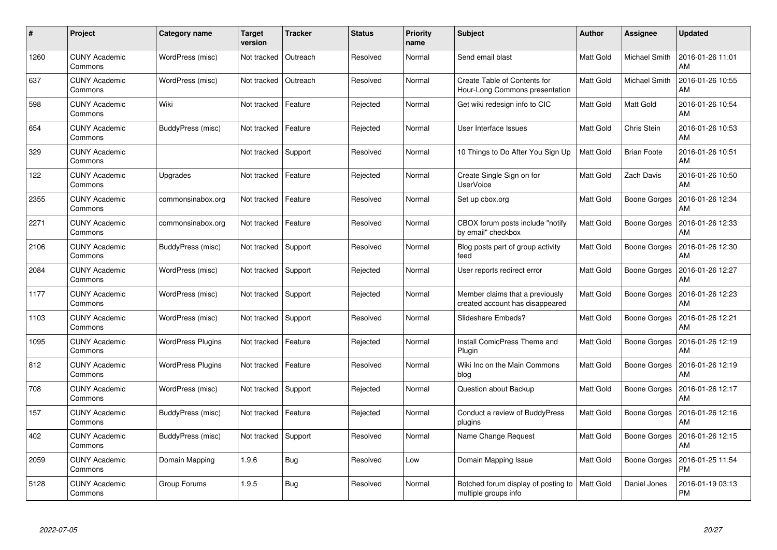| #    | Project                         | Category name            | <b>Target</b><br>version | <b>Tracker</b> | <b>Status</b> | <b>Priority</b><br>name | <b>Subject</b>                                                     | <b>Author</b>    | Assignee            | <b>Updated</b>                |
|------|---------------------------------|--------------------------|--------------------------|----------------|---------------|-------------------------|--------------------------------------------------------------------|------------------|---------------------|-------------------------------|
| 1260 | <b>CUNY Academic</b><br>Commons | WordPress (misc)         | Not tracked              | Outreach       | Resolved      | Normal                  | Send email blast                                                   | <b>Matt Gold</b> | Michael Smith       | 2016-01-26 11:01<br>AM        |
| 637  | <b>CUNY Academic</b><br>Commons | WordPress (misc)         | Not tracked              | Outreach       | Resolved      | Normal                  | Create Table of Contents for<br>Hour-Long Commons presentation     | Matt Gold        | Michael Smith       | 2016-01-26 10:55<br>AM        |
| 598  | <b>CUNY Academic</b><br>Commons | Wiki                     | Not tracked              | Feature        | Rejected      | Normal                  | Get wiki redesign info to CIC                                      | Matt Gold        | Matt Gold           | 2016-01-26 10:54<br>AM        |
| 654  | <b>CUNY Academic</b><br>Commons | BuddyPress (misc)        | Not tracked              | Feature        | Rejected      | Normal                  | User Interface Issues                                              | Matt Gold        | Chris Stein         | 2016-01-26 10:53<br>AM        |
| 329  | <b>CUNY Academic</b><br>Commons |                          | Not tracked              | Support        | Resolved      | Normal                  | 10 Things to Do After You Sign Up                                  | Matt Gold        | <b>Brian Foote</b>  | 2016-01-26 10:51<br>AM        |
| 122  | <b>CUNY Academic</b><br>Commons | Upgrades                 | Not tracked              | Feature        | Rejected      | Normal                  | Create Single Sign on for<br><b>UserVoice</b>                      | Matt Gold        | <b>Zach Davis</b>   | 2016-01-26 10:50<br>AM        |
| 2355 | <b>CUNY Academic</b><br>Commons | commonsinabox.org        | Not tracked              | Feature        | Resolved      | Normal                  | Set up cbox.org                                                    | Matt Gold        | <b>Boone Gorges</b> | 2016-01-26 12:34<br>AM        |
| 2271 | <b>CUNY Academic</b><br>Commons | commonsinabox.org        | Not tracked              | Feature        | Resolved      | Normal                  | CBOX forum posts include "notify<br>by email" checkbox             | Matt Gold        | Boone Gorges        | 2016-01-26 12:33<br>AM        |
| 2106 | <b>CUNY Academic</b><br>Commons | BuddyPress (misc)        | Not tracked              | Support        | Resolved      | Normal                  | Blog posts part of group activity<br>feed                          | Matt Gold        | Boone Gorges        | 2016-01-26 12:30<br>AM        |
| 2084 | <b>CUNY Academic</b><br>Commons | WordPress (misc)         | Not tracked              | Support        | Rejected      | Normal                  | User reports redirect error                                        | Matt Gold        | Boone Gorges        | 2016-01-26 12:27<br>AM        |
| 1177 | <b>CUNY Academic</b><br>Commons | WordPress (misc)         | Not tracked              | Support        | Rejected      | Normal                  | Member claims that a previously<br>created account has disappeared | Matt Gold        | <b>Boone Gorges</b> | 2016-01-26 12:23<br>AM        |
| 1103 | <b>CUNY Academic</b><br>Commons | WordPress (misc)         | Not tracked              | Support        | Resolved      | Normal                  | Slideshare Embeds?                                                 | Matt Gold        | Boone Gorges        | 2016-01-26 12:21<br>AM        |
| 1095 | <b>CUNY Academic</b><br>Commons | <b>WordPress Plugins</b> | Not tracked              | Feature        | Rejected      | Normal                  | Install ComicPress Theme and<br>Plugin                             | Matt Gold        | Boone Gorges        | 2016-01-26 12:19<br>AM        |
| 812  | <b>CUNY Academic</b><br>Commons | <b>WordPress Plugins</b> | Not tracked              | Feature        | Resolved      | Normal                  | Wiki Inc on the Main Commons<br>blog                               | Matt Gold        | <b>Boone Gorges</b> | 2016-01-26 12:19<br>AM        |
| 708  | <b>CUNY Academic</b><br>Commons | WordPress (misc)         | Not tracked              | Support        | Rejected      | Normal                  | Question about Backup                                              | Matt Gold        | <b>Boone Gorges</b> | 2016-01-26 12:17<br>AM        |
| 157  | <b>CUNY Academic</b><br>Commons | BuddyPress (misc)        | Not tracked              | Feature        | Rejected      | Normal                  | Conduct a review of BuddyPress<br>plugins                          | Matt Gold        | Boone Gorges        | 2016-01-26 12:16<br>AM        |
| 402  | <b>CUNY Academic</b><br>Commons | BuddyPress (misc)        | Not tracked              | Support        | Resolved      | Normal                  | Name Change Request                                                | Matt Gold        | Boone Gorges        | 2016-01-26 12:15<br>AM        |
| 2059 | <b>CUNY Academic</b><br>Commons | Domain Mapping           | 1.9.6                    | Bug            | Resolved      | Low                     | Domain Mapping Issue                                               | Matt Gold        | <b>Boone Gorges</b> | 2016-01-25 11:54<br><b>PM</b> |
| 5128 | CUNY Academic<br>Commons        | Group Forums             | 1.9.5                    | <b>Bug</b>     | Resolved      | Normal                  | Botched forum display of posting to<br>multiple groups info        | Matt Gold        | Daniel Jones        | 2016-01-19 03:13<br>PM        |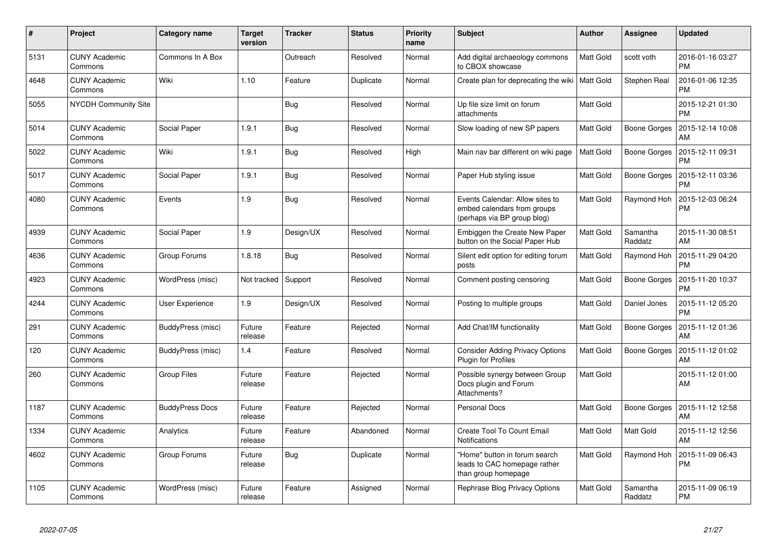| $\pmb{\#}$ | Project                         | Category name          | <b>Target</b><br>version | <b>Tracker</b> | <b>Status</b> | <b>Priority</b><br>name | <b>Subject</b>                                                                                | Author    | Assignee            | <b>Updated</b>                |
|------------|---------------------------------|------------------------|--------------------------|----------------|---------------|-------------------------|-----------------------------------------------------------------------------------------------|-----------|---------------------|-------------------------------|
| 5131       | <b>CUNY Academic</b><br>Commons | Commons In A Box       |                          | Outreach       | Resolved      | Normal                  | Add digital archaeology commons<br>to CBOX showcase                                           | Matt Gold | scott voth          | 2016-01-16 03:27<br><b>PM</b> |
| 4648       | <b>CUNY Academic</b><br>Commons | Wiki                   | 1.10                     | Feature        | Duplicate     | Normal                  | Create plan for deprecating the wiki   Matt Gold                                              |           | Stephen Real        | 2016-01-06 12:35<br><b>PM</b> |
| 5055       | <b>NYCDH Community Site</b>     |                        |                          | Bug            | Resolved      | Normal                  | Up file size limit on forum<br>attachments                                                    | Matt Gold |                     | 2015-12-21 01:30<br><b>PM</b> |
| 5014       | <b>CUNY Academic</b><br>Commons | Social Paper           | 1.9.1                    | <b>Bug</b>     | Resolved      | Normal                  | Slow loading of new SP papers                                                                 | Matt Gold | Boone Gorges        | 2015-12-14 10:08<br>AM        |
| 5022       | <b>CUNY Academic</b><br>Commons | Wiki                   | 1.9.1                    | Bug            | Resolved      | High                    | Main nav bar different on wiki page                                                           | Matt Gold | Boone Gorges        | 2015-12-11 09:31<br><b>PM</b> |
| 5017       | <b>CUNY Academic</b><br>Commons | Social Paper           | 1.9.1                    | Bug            | Resolved      | Normal                  | Paper Hub styling issue                                                                       | Matt Gold | Boone Gorges        | 2015-12-11 03:36<br><b>PM</b> |
| 4080       | <b>CUNY Academic</b><br>Commons | Events                 | 1.9                      | Bug            | Resolved      | Normal                  | Events Calendar: Allow sites to<br>embed calendars from groups<br>(perhaps via BP group blog) | Matt Gold | Raymond Hoh         | 2015-12-03 06:24<br><b>PM</b> |
| 4939       | <b>CUNY Academic</b><br>Commons | Social Paper           | 1.9                      | Design/UX      | Resolved      | Normal                  | Embiggen the Create New Paper<br>button on the Social Paper Hub                               | Matt Gold | Samantha<br>Raddatz | 2015-11-30 08:51<br>AM        |
| 4636       | <b>CUNY Academic</b><br>Commons | Group Forums           | 1.8.18                   | Bug            | Resolved      | Normal                  | Silent edit option for editing forum<br>posts                                                 | Matt Gold | Raymond Hoh         | 2015-11-29 04:20<br><b>PM</b> |
| 4923       | <b>CUNY Academic</b><br>Commons | WordPress (misc)       | Not tracked              | Support        | Resolved      | Normal                  | Comment posting censoring                                                                     | Matt Gold | Boone Gorges        | 2015-11-20 10:37<br><b>PM</b> |
| 4244       | <b>CUNY Academic</b><br>Commons | User Experience        | 1.9                      | Design/UX      | Resolved      | Normal                  | Posting to multiple groups                                                                    | Matt Gold | Daniel Jones        | 2015-11-12 05:20<br><b>PM</b> |
| 291        | <b>CUNY Academic</b><br>Commons | BuddyPress (misc)      | Future<br>release        | Feature        | Rejected      | Normal                  | Add Chat/IM functionality                                                                     | Matt Gold | Boone Gorges        | 2015-11-12 01:36<br>AM        |
| 120        | <b>CUNY Academic</b><br>Commons | BuddyPress (misc)      | 1.4                      | Feature        | Resolved      | Normal                  | <b>Consider Adding Privacy Options</b><br>Plugin for Profiles                                 | Matt Gold | Boone Gorges        | 2015-11-12 01:02<br>AM        |
| 260        | <b>CUNY Academic</b><br>Commons | <b>Group Files</b>     | Future<br>release        | Feature        | Rejected      | Normal                  | Possible synergy between Group<br>Docs plugin and Forum<br>Attachments?                       | Matt Gold |                     | 2015-11-12 01:00<br>AM        |
| 1187       | <b>CUNY Academic</b><br>Commons | <b>BuddyPress Docs</b> | Future<br>release        | Feature        | Rejected      | Normal                  | <b>Personal Docs</b>                                                                          | Matt Gold | Boone Gorges        | 2015-11-12 12:58<br>AM        |
| 1334       | <b>CUNY Academic</b><br>Commons | Analytics              | Future<br>release        | Feature        | Abandoned     | Normal                  | Create Tool To Count Email<br><b>Notifications</b>                                            | Matt Gold | Matt Gold           | 2015-11-12 12:56<br>AM        |
| 4602       | <b>CUNY Academic</b><br>Commons | Group Forums           | Future<br>release        | <b>Bug</b>     | Duplicate     | Normal                  | 'Home" button in forum search<br>leads to CAC homepage rather<br>than group homepage          | Matt Gold | Raymond Hoh         | 2015-11-09 06:43<br>PM        |
| 1105       | <b>CUNY Academic</b><br>Commons | WordPress (misc)       | Future<br>release        | Feature        | Assigned      | Normal                  | Rephrase Blog Privacy Options                                                                 | Matt Gold | Samantha<br>Raddatz | 2015-11-09 06:19<br><b>PM</b> |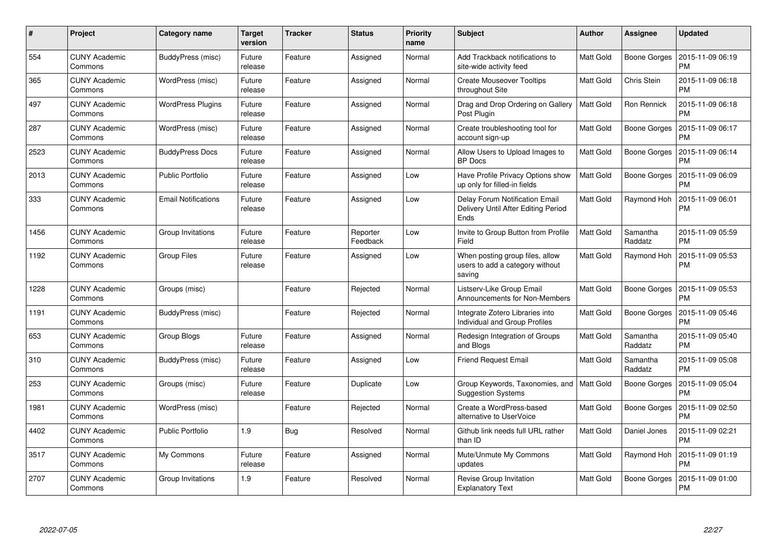| #    | Project                         | Category name              | Target<br>version | <b>Tracker</b> | <b>Status</b>        | <b>Priority</b><br>name | <b>Subject</b>                                                                | <b>Author</b>    | <b>Assignee</b>     | <b>Updated</b>                |
|------|---------------------------------|----------------------------|-------------------|----------------|----------------------|-------------------------|-------------------------------------------------------------------------------|------------------|---------------------|-------------------------------|
| 554  | <b>CUNY Academic</b><br>Commons | BuddyPress (misc)          | Future<br>release | Feature        | Assigned             | Normal                  | Add Trackback notifications to<br>site-wide activity feed                     | Matt Gold        | Boone Gorges        | 2015-11-09 06:19<br><b>PM</b> |
| 365  | <b>CUNY Academic</b><br>Commons | WordPress (misc)           | Future<br>release | Feature        | Assigned             | Normal                  | <b>Create Mouseover Tooltips</b><br>throughout Site                           | Matt Gold        | Chris Stein         | 2015-11-09 06:18<br><b>PM</b> |
| 497  | <b>CUNY Academic</b><br>Commons | <b>WordPress Plugins</b>   | Future<br>release | Feature        | Assigned             | Normal                  | Drag and Drop Ordering on Gallery<br>Post Plugin                              | Matt Gold        | Ron Rennick         | 2015-11-09 06:18<br><b>PM</b> |
| 287  | <b>CUNY Academic</b><br>Commons | WordPress (misc)           | Future<br>release | Feature        | Assigned             | Normal                  | Create troubleshooting tool for<br>account sign-up                            | Matt Gold        | <b>Boone Gorges</b> | 2015-11-09 06:17<br><b>PM</b> |
| 2523 | <b>CUNY Academic</b><br>Commons | <b>BuddyPress Docs</b>     | Future<br>release | Feature        | Assigned             | Normal                  | Allow Users to Upload Images to<br><b>BP</b> Docs                             | Matt Gold        | Boone Gorges        | 2015-11-09 06:14<br><b>PM</b> |
| 2013 | <b>CUNY Academic</b><br>Commons | <b>Public Portfolio</b>    | Future<br>release | Feature        | Assigned             | Low                     | Have Profile Privacy Options show<br>up only for filled-in fields             | Matt Gold        | Boone Gorges        | 2015-11-09 06:09<br><b>PM</b> |
| 333  | <b>CUNY Academic</b><br>Commons | <b>Email Notifications</b> | Future<br>release | Feature        | Assigned             | Low                     | Delay Forum Notification Email<br>Delivery Until After Editing Period<br>Ends | Matt Gold        | Raymond Hoh         | 2015-11-09 06:01<br><b>PM</b> |
| 1456 | <b>CUNY Academic</b><br>Commons | Group Invitations          | Future<br>release | Feature        | Reporter<br>Feedback | Low                     | Invite to Group Button from Profile<br>Field                                  | Matt Gold        | Samantha<br>Raddatz | 2015-11-09 05:59<br><b>PM</b> |
| 1192 | <b>CUNY Academic</b><br>Commons | <b>Group Files</b>         | Future<br>release | Feature        | Assigned             | Low                     | When posting group files, allow<br>users to add a category without<br>saving  | Matt Gold        | Raymond Hoh         | 2015-11-09 05:53<br><b>PM</b> |
| 1228 | <b>CUNY Academic</b><br>Commons | Groups (misc)              |                   | Feature        | Rejected             | Normal                  | Listserv-Like Group Email<br>Announcements for Non-Members                    | Matt Gold        | Boone Gorges        | 2015-11-09 05:53<br><b>PM</b> |
| 1191 | <b>CUNY Academic</b><br>Commons | BuddyPress (misc)          |                   | Feature        | Rejected             | Normal                  | Integrate Zotero Libraries into<br>Individual and Group Profiles              | Matt Gold        | Boone Gorges        | 2015-11-09 05:46<br><b>PM</b> |
| 653  | <b>CUNY Academic</b><br>Commons | Group Blogs                | Future<br>release | Feature        | Assigned             | Normal                  | Redesign Integration of Groups<br>and Blogs                                   | Matt Gold        | Samantha<br>Raddatz | 2015-11-09 05:40<br><b>PM</b> |
| 310  | <b>CUNY Academic</b><br>Commons | BuddyPress (misc)          | Future<br>release | Feature        | Assigned             | Low                     | <b>Friend Request Email</b>                                                   | Matt Gold        | Samantha<br>Raddatz | 2015-11-09 05:08<br><b>PM</b> |
| 253  | <b>CUNY Academic</b><br>Commons | Groups (misc)              | Future<br>release | Feature        | Duplicate            | Low                     | Group Keywords, Taxonomies, and<br><b>Suggestion Systems</b>                  | Matt Gold        | Boone Gorges        | 2015-11-09 05:04<br><b>PM</b> |
| 1981 | <b>CUNY Academic</b><br>Commons | WordPress (misc)           |                   | Feature        | Rejected             | Normal                  | Create a WordPress-based<br>alternative to UserVoice                          | Matt Gold        | Boone Gorges        | 2015-11-09 02:50<br><b>PM</b> |
| 4402 | <b>CUNY Academic</b><br>Commons | <b>Public Portfolio</b>    | 1.9               | Bug            | Resolved             | Normal                  | Github link needs full URL rather<br>than ID                                  | Matt Gold        | Daniel Jones        | 2015-11-09 02:21<br><b>PM</b> |
| 3517 | <b>CUNY Academic</b><br>Commons | My Commons                 | Future<br>release | Feature        | Assigned             | Normal                  | Mute/Unmute My Commons<br>updates                                             | Matt Gold        | Raymond Hoh         | 2015-11-09 01:19<br><b>PM</b> |
| 2707 | <b>CUNY Academic</b><br>Commons | Group Invitations          | 1.9               | Feature        | Resolved             | Normal                  | Revise Group Invitation<br><b>Explanatory Text</b>                            | <b>Matt Gold</b> | Boone Gorges        | 2015-11-09 01:00<br><b>PM</b> |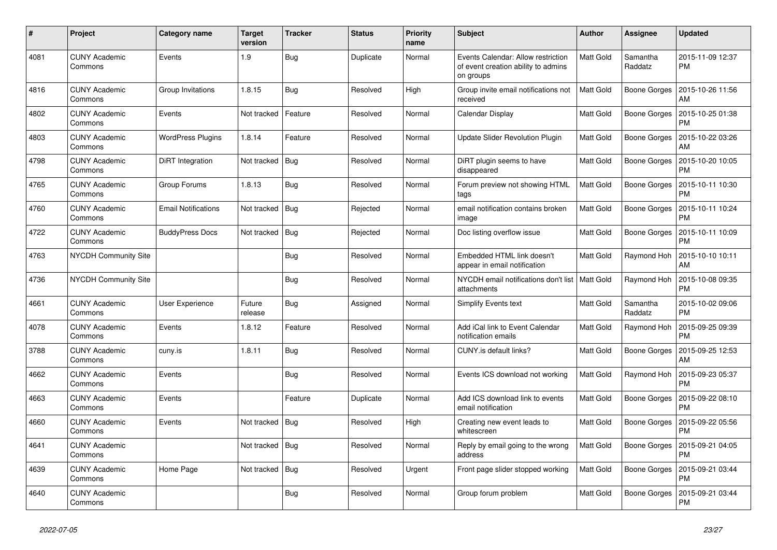| #    | Project                         | Category name              | <b>Target</b><br>version | <b>Tracker</b> | <b>Status</b> | <b>Priority</b><br>name | <b>Subject</b>                                                                         | <b>Author</b>    | Assignee            | <b>Updated</b>                |
|------|---------------------------------|----------------------------|--------------------------|----------------|---------------|-------------------------|----------------------------------------------------------------------------------------|------------------|---------------------|-------------------------------|
| 4081 | <b>CUNY Academic</b><br>Commons | Events                     | 1.9                      | Bug            | Duplicate     | Normal                  | Events Calendar: Allow restriction<br>of event creation ability to admins<br>on groups | Matt Gold        | Samantha<br>Raddatz | 2015-11-09 12:37<br><b>PM</b> |
| 4816 | <b>CUNY Academic</b><br>Commons | Group Invitations          | 1.8.15                   | <b>Bug</b>     | Resolved      | High                    | Group invite email notifications not<br>received                                       | <b>Matt Gold</b> | Boone Gorges        | 2015-10-26 11:56<br>AM        |
| 4802 | <b>CUNY Academic</b><br>Commons | Events                     | Not tracked              | Feature        | Resolved      | Normal                  | Calendar Display                                                                       | Matt Gold        | Boone Gorges        | 2015-10-25 01:38<br><b>PM</b> |
| 4803 | <b>CUNY Academic</b><br>Commons | <b>WordPress Plugins</b>   | 1.8.14                   | Feature        | Resolved      | Normal                  | Update Slider Revolution Plugin                                                        | Matt Gold        | Boone Gorges        | 2015-10-22 03:26<br>AM        |
| 4798 | <b>CUNY Academic</b><br>Commons | DiRT Integration           | Not tracked              | Bug            | Resolved      | Normal                  | DiRT plugin seems to have<br>disappeared                                               | Matt Gold        | Boone Gorges        | 2015-10-20 10:05<br><b>PM</b> |
| 4765 | <b>CUNY Academic</b><br>Commons | Group Forums               | 1.8.13                   | Bug            | Resolved      | Normal                  | Forum preview not showing HTML<br>tags                                                 | Matt Gold        | Boone Gorges        | 2015-10-11 10:30<br><b>PM</b> |
| 4760 | <b>CUNY Academic</b><br>Commons | <b>Email Notifications</b> | Not tracked              | <b>Bug</b>     | Rejected      | Normal                  | email notification contains broken<br>image                                            | Matt Gold        | Boone Gorges        | 2015-10-11 10:24<br><b>PM</b> |
| 4722 | <b>CUNY Academic</b><br>Commons | <b>BuddyPress Docs</b>     | Not tracked              | Bug            | Rejected      | Normal                  | Doc listing overflow issue                                                             | Matt Gold        | Boone Gorges        | 2015-10-11 10:09<br>PM        |
| 4763 | <b>NYCDH Community Site</b>     |                            |                          | <b>Bug</b>     | Resolved      | Normal                  | Embedded HTML link doesn't<br>appear in email notification                             | Matt Gold        | Raymond Hoh         | 2015-10-10 10:11<br>AM        |
| 4736 | <b>NYCDH Community Site</b>     |                            |                          | <b>Bug</b>     | Resolved      | Normal                  | NYCDH email notifications don't list<br>attachments                                    | Matt Gold        | Raymond Hoh         | 2015-10-08 09:35<br><b>PM</b> |
| 4661 | <b>CUNY Academic</b><br>Commons | User Experience            | Future<br>release        | Bug            | Assigned      | Normal                  | <b>Simplify Events text</b>                                                            | Matt Gold        | Samantha<br>Raddatz | 2015-10-02 09:06<br><b>PM</b> |
| 4078 | <b>CUNY Academic</b><br>Commons | Events                     | 1.8.12                   | Feature        | Resolved      | Normal                  | Add iCal link to Event Calendar<br>notification emails                                 | Matt Gold        | Raymond Hoh         | 2015-09-25 09:39<br><b>PM</b> |
| 3788 | <b>CUNY Academic</b><br>Commons | cuny.is                    | 1.8.11                   | Bug            | Resolved      | Normal                  | CUNY.is default links?                                                                 | Matt Gold        | Boone Gorges        | 2015-09-25 12:53<br>AM        |
| 4662 | <b>CUNY Academic</b><br>Commons | Events                     |                          | <b>Bug</b>     | Resolved      | Normal                  | Events ICS download not working                                                        | Matt Gold        | Raymond Hoh         | 2015-09-23 05:37<br><b>PM</b> |
| 4663 | <b>CUNY Academic</b><br>Commons | Events                     |                          | Feature        | Duplicate     | Normal                  | Add ICS download link to events<br>email notification                                  | Matt Gold        | Boone Gorges        | 2015-09-22 08:10<br><b>PM</b> |
| 4660 | <b>CUNY Academic</b><br>Commons | Events                     | Not tracked              | <b>Bug</b>     | Resolved      | High                    | Creating new event leads to<br>whitescreen                                             | Matt Gold        | Boone Gorges        | 2015-09-22 05:56<br><b>PM</b> |
| 4641 | <b>CUNY Academic</b><br>Commons |                            | Not tracked              | Bug            | Resolved      | Normal                  | Reply by email going to the wrong<br>address                                           | Matt Gold        | Boone Gorges        | 2015-09-21 04:05<br><b>PM</b> |
| 4639 | <b>CUNY Academic</b><br>Commons | Home Page                  | Not tracked              | Bug            | Resolved      | Urgent                  | Front page slider stopped working                                                      | Matt Gold        | Boone Gorges        | 2015-09-21 03:44<br><b>PM</b> |
| 4640 | <b>CUNY Academic</b><br>Commons |                            |                          | <b>Bug</b>     | Resolved      | Normal                  | Group forum problem                                                                    | Matt Gold        | Boone Gorges        | 2015-09-21 03:44<br><b>PM</b> |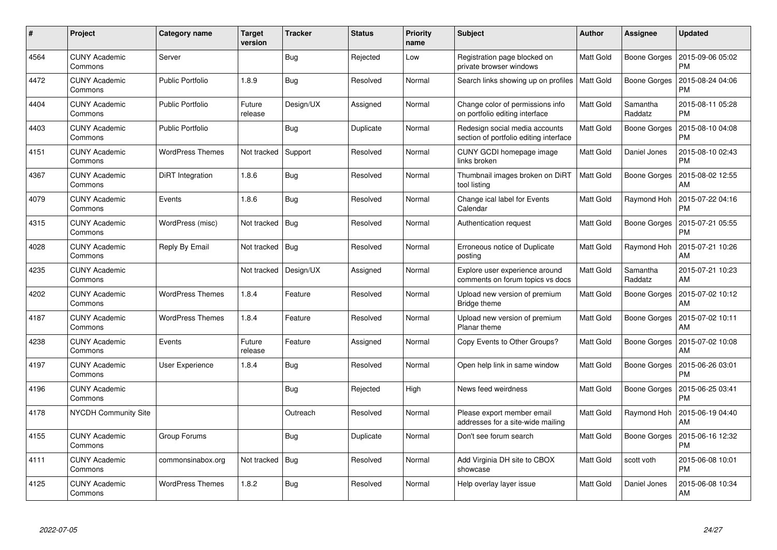| #    | Project                         | Category name           | Target<br>version | <b>Tracker</b> | <b>Status</b> | <b>Priority</b><br>name | <b>Subject</b>                                                           | <b>Author</b> | Assignee            | <b>Updated</b>                |
|------|---------------------------------|-------------------------|-------------------|----------------|---------------|-------------------------|--------------------------------------------------------------------------|---------------|---------------------|-------------------------------|
| 4564 | <b>CUNY Academic</b><br>Commons | Server                  |                   | <b>Bug</b>     | Rejected      | Low                     | Registration page blocked on<br>private browser windows                  | Matt Gold     | Boone Gorges        | 2015-09-06 05:02<br><b>PM</b> |
| 4472 | <b>CUNY Academic</b><br>Commons | <b>Public Portfolio</b> | 1.8.9             | <b>Bug</b>     | Resolved      | Normal                  | Search links showing up on profiles                                      | Matt Gold     | <b>Boone Gorges</b> | 2015-08-24 04:06<br><b>PM</b> |
| 4404 | <b>CUNY Academic</b><br>Commons | <b>Public Portfolio</b> | Future<br>release | Design/UX      | Assigned      | Normal                  | Change color of permissions info<br>on portfolio editing interface       | Matt Gold     | Samantha<br>Raddatz | 2015-08-11 05:28<br><b>PM</b> |
| 4403 | <b>CUNY Academic</b><br>Commons | <b>Public Portfolio</b> |                   | <b>Bug</b>     | Duplicate     | Normal                  | Redesign social media accounts<br>section of portfolio editing interface | Matt Gold     | <b>Boone Gorges</b> | 2015-08-10 04:08<br><b>PM</b> |
| 4151 | <b>CUNY Academic</b><br>Commons | <b>WordPress Themes</b> | Not tracked       | Support        | Resolved      | Normal                  | CUNY GCDI homepage image<br>links broken                                 | Matt Gold     | Daniel Jones        | 2015-08-10 02:43<br><b>PM</b> |
| 4367 | <b>CUNY Academic</b><br>Commons | <b>DiRT</b> Integration | 1.8.6             | <b>Bug</b>     | Resolved      | Normal                  | Thumbnail images broken on DiRT<br>tool listing                          | Matt Gold     | <b>Boone Gorges</b> | 2015-08-02 12:55<br>AM        |
| 4079 | <b>CUNY Academic</b><br>Commons | Events                  | 1.8.6             | Bug            | Resolved      | Normal                  | Change ical label for Events<br>Calendar                                 | Matt Gold     | Raymond Hoh         | 2015-07-22 04:16<br><b>PM</b> |
| 4315 | <b>CUNY Academic</b><br>Commons | WordPress (misc)        | Not tracked       | <b>Bug</b>     | Resolved      | Normal                  | Authentication request                                                   | Matt Gold     | Boone Gorges        | 2015-07-21 05:55<br><b>PM</b> |
| 4028 | <b>CUNY Academic</b><br>Commons | Reply By Email          | Not tracked       | Bug            | Resolved      | Normal                  | Erroneous notice of Duplicate<br>posting                                 | Matt Gold     | Raymond Hoh         | 2015-07-21 10:26<br>AM        |
| 4235 | <b>CUNY Academic</b><br>Commons |                         | Not tracked       | Design/UX      | Assigned      | Normal                  | Explore user experience around<br>comments on forum topics vs docs       | Matt Gold     | Samantha<br>Raddatz | 2015-07-21 10:23<br>AM        |
| 4202 | <b>CUNY Academic</b><br>Commons | <b>WordPress Themes</b> | 1.8.4             | Feature        | Resolved      | Normal                  | Upload new version of premium<br>Bridge theme                            | Matt Gold     | <b>Boone Gorges</b> | 2015-07-02 10:12<br>AM        |
| 4187 | <b>CUNY Academic</b><br>Commons | <b>WordPress Themes</b> | 1.8.4             | Feature        | Resolved      | Normal                  | Upload new version of premium<br>Planar theme                            | Matt Gold     | Boone Gorges        | 2015-07-02 10:11<br>AM        |
| 4238 | <b>CUNY Academic</b><br>Commons | Events                  | Future<br>release | Feature        | Assigned      | Normal                  | Copy Events to Other Groups?                                             | Matt Gold     | Boone Gorges        | 2015-07-02 10:08<br>AM        |
| 4197 | <b>CUNY Academic</b><br>Commons | User Experience         | 1.8.4             | <b>Bug</b>     | Resolved      | Normal                  | Open help link in same window                                            | Matt Gold     | <b>Boone Gorges</b> | 2015-06-26 03:01<br><b>PM</b> |
| 4196 | <b>CUNY Academic</b><br>Commons |                         |                   | Bug            | Rejected      | High                    | News feed weirdness                                                      | Matt Gold     | Boone Gorges        | 2015-06-25 03:41<br><b>PM</b> |
| 4178 | <b>NYCDH Community Site</b>     |                         |                   | Outreach       | Resolved      | Normal                  | Please export member email<br>addresses for a site-wide mailing          | Matt Gold     | Raymond Hoh         | 2015-06-19 04:40<br>AM        |
| 4155 | <b>CUNY Academic</b><br>Commons | Group Forums            |                   | Bug            | Duplicate     | Normal                  | Don't see forum search                                                   | Matt Gold     | Boone Gorges        | 2015-06-16 12:32<br><b>PM</b> |
| 4111 | <b>CUNY Academic</b><br>Commons | commonsinabox.org       | Not tracked       | <b>Bug</b>     | Resolved      | Normal                  | Add Virginia DH site to CBOX<br>showcase                                 | Matt Gold     | scott voth          | 2015-06-08 10:01<br><b>PM</b> |
| 4125 | CUNY Academic<br>Commons        | <b>WordPress Themes</b> | 1.8.2             | Bug            | Resolved      | Normal                  | Help overlay layer issue                                                 | Matt Gold     | Daniel Jones        | 2015-06-08 10:34<br>AM        |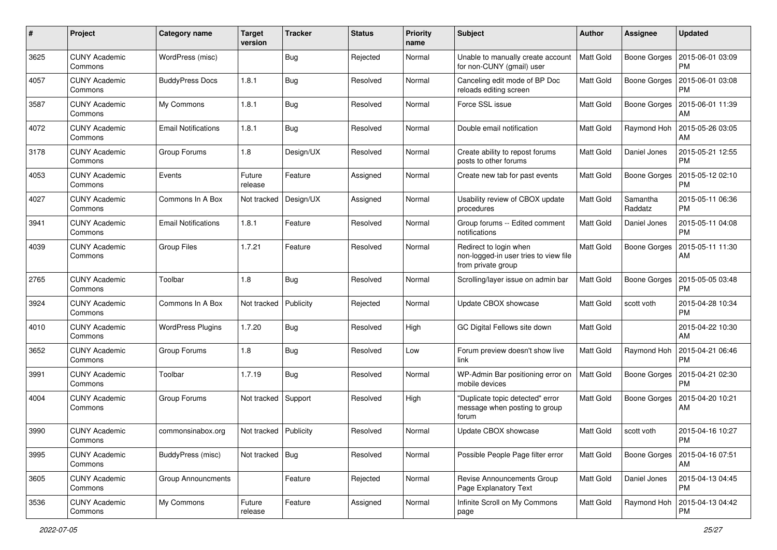| #    | Project                         | <b>Category name</b>       | <b>Target</b><br>version | <b>Tracker</b> | <b>Status</b> | <b>Priority</b><br>name | <b>Subject</b>                                                                        | Author           | <b>Assignee</b>     | <b>Updated</b>                |
|------|---------------------------------|----------------------------|--------------------------|----------------|---------------|-------------------------|---------------------------------------------------------------------------------------|------------------|---------------------|-------------------------------|
| 3625 | <b>CUNY Academic</b><br>Commons | WordPress (misc)           |                          | Bug            | Rejected      | Normal                  | Unable to manually create account<br>for non-CUNY (gmail) user                        | Matt Gold        | <b>Boone Gorges</b> | 2015-06-01 03:09<br><b>PM</b> |
| 4057 | <b>CUNY Academic</b><br>Commons | <b>BuddyPress Docs</b>     | 1.8.1                    | <b>Bug</b>     | Resolved      | Normal                  | Canceling edit mode of BP Doc<br>reloads editing screen                               | Matt Gold        | <b>Boone Gorges</b> | 2015-06-01 03:08<br><b>PM</b> |
| 3587 | CUNY Academic<br>Commons        | My Commons                 | 1.8.1                    | Bug            | Resolved      | Normal                  | Force SSL issue                                                                       | Matt Gold        | <b>Boone Gorges</b> | 2015-06-01 11:39<br>AM        |
| 4072 | <b>CUNY Academic</b><br>Commons | <b>Email Notifications</b> | 1.8.1                    | Bug            | Resolved      | Normal                  | Double email notification                                                             | <b>Matt Gold</b> | Raymond Hoh         | 2015-05-26 03:05<br>AM        |
| 3178 | <b>CUNY Academic</b><br>Commons | Group Forums               | 1.8                      | Design/UX      | Resolved      | Normal                  | Create ability to repost forums<br>posts to other forums                              | Matt Gold        | Daniel Jones        | 2015-05-21 12:55<br><b>PM</b> |
| 4053 | <b>CUNY Academic</b><br>Commons | Events                     | Future<br>release        | Feature        | Assigned      | Normal                  | Create new tab for past events                                                        | Matt Gold        | <b>Boone Gorges</b> | 2015-05-12 02:10<br><b>PM</b> |
| 4027 | <b>CUNY Academic</b><br>Commons | Commons In A Box           | Not tracked              | Design/UX      | Assigned      | Normal                  | Usability review of CBOX update<br>procedures                                         | Matt Gold        | Samantha<br>Raddatz | 2015-05-11 06:36<br><b>PM</b> |
| 3941 | <b>CUNY Academic</b><br>Commons | <b>Email Notifications</b> | 1.8.1                    | Feature        | Resolved      | Normal                  | Group forums -- Edited comment<br>notifications                                       | Matt Gold        | Daniel Jones        | 2015-05-11 04:08<br><b>PM</b> |
| 4039 | <b>CUNY Academic</b><br>Commons | <b>Group Files</b>         | 1.7.21                   | Feature        | Resolved      | Normal                  | Redirect to login when<br>non-logged-in user tries to view file<br>from private group | Matt Gold        | Boone Gorges        | 2015-05-11 11:30<br>AM        |
| 2765 | <b>CUNY Academic</b><br>Commons | Toolbar                    | 1.8                      | Bug            | Resolved      | Normal                  | Scrolling/layer issue on admin bar                                                    | <b>Matt Gold</b> | <b>Boone Gorges</b> | 2015-05-05 03:48<br><b>PM</b> |
| 3924 | <b>CUNY Academic</b><br>Commons | Commons In A Box           | Not tracked              | Publicity      | Rejected      | Normal                  | Update CBOX showcase                                                                  | Matt Gold        | scott voth          | 2015-04-28 10:34<br><b>PM</b> |
| 4010 | <b>CUNY Academic</b><br>Commons | <b>WordPress Plugins</b>   | 1.7.20                   | Bug            | Resolved      | High                    | GC Digital Fellows site down                                                          | Matt Gold        |                     | 2015-04-22 10:30<br>AM        |
| 3652 | <b>CUNY Academic</b><br>Commons | Group Forums               | 1.8                      | Bug            | Resolved      | Low                     | Forum preview doesn't show live<br>link                                               | Matt Gold        | Raymond Hoh         | 2015-04-21 06:46<br><b>PM</b> |
| 3991 | <b>CUNY Academic</b><br>Commons | Toolbar                    | 1.7.19                   | Bug            | Resolved      | Normal                  | WP-Admin Bar positioning error on<br>mobile devices                                   | Matt Gold        | Boone Gorges        | 2015-04-21 02:30<br><b>PM</b> |
| 4004 | CUNY Academic<br>Commons        | Group Forums               | Not tracked              | Support        | Resolved      | High                    | "Duplicate topic detected" error<br>message when posting to group<br>forum            | Matt Gold        | <b>Boone Gorges</b> | 2015-04-20 10:21<br>AM        |
| 3990 | <b>CUNY Academic</b><br>Commons | commonsinabox.org          | Not tracked   Publicity  |                | Resolved      | Normal                  | Update CBOX showcase                                                                  | Matt Gold        | scott voth          | 2015-04-16 10:27<br>PM        |
| 3995 | <b>CUNY Academic</b><br>Commons | BuddyPress (misc)          | Not tracked              | Bug            | Resolved      | Normal                  | Possible People Page filter error                                                     | Matt Gold        | Boone Gorges        | 2015-04-16 07:51<br>AM        |
| 3605 | <b>CUNY Academic</b><br>Commons | <b>Group Announcments</b>  |                          | Feature        | Rejected      | Normal                  | Revise Announcements Group<br>Page Explanatory Text                                   | Matt Gold        | Daniel Jones        | 2015-04-13 04:45<br><b>PM</b> |
| 3536 | <b>CUNY Academic</b><br>Commons | My Commons                 | Future<br>release        | Feature        | Assigned      | Normal                  | Infinite Scroll on My Commons<br>page                                                 | Matt Gold        | Raymond Hoh         | 2015-04-13 04:42<br><b>PM</b> |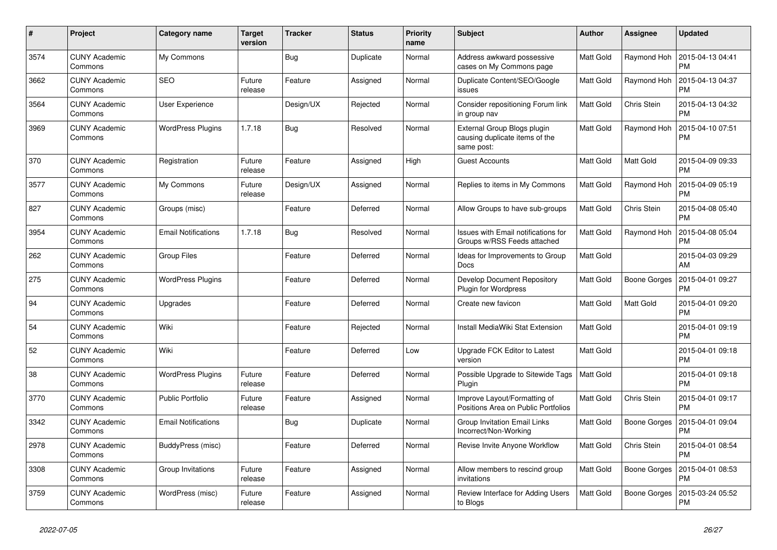| $\#$ | Project                         | Category name              | <b>Target</b><br>version | <b>Tracker</b> | <b>Status</b> | <b>Priority</b><br>name | <b>Subject</b>                                                              | <b>Author</b> | Assignee            | <b>Updated</b>                |
|------|---------------------------------|----------------------------|--------------------------|----------------|---------------|-------------------------|-----------------------------------------------------------------------------|---------------|---------------------|-------------------------------|
| 3574 | <b>CUNY Academic</b><br>Commons | My Commons                 |                          | Bug            | Duplicate     | Normal                  | Address awkward possessive<br>cases on My Commons page                      | Matt Gold     | Raymond Hoh         | 2015-04-13 04:41<br><b>PM</b> |
| 3662 | <b>CUNY Academic</b><br>Commons | <b>SEO</b>                 | Future<br>release        | Feature        | Assigned      | Normal                  | Duplicate Content/SEO/Google<br>issues                                      | Matt Gold     | Raymond Hoh         | 2015-04-13 04:37<br><b>PM</b> |
| 3564 | <b>CUNY Academic</b><br>Commons | User Experience            |                          | Design/UX      | Rejected      | Normal                  | Consider repositioning Forum link<br>in group nav                           | Matt Gold     | Chris Stein         | 2015-04-13 04:32<br><b>PM</b> |
| 3969 | <b>CUNY Academic</b><br>Commons | <b>WordPress Plugins</b>   | 1.7.18                   | Bug            | Resolved      | Normal                  | External Group Blogs plugin<br>causing duplicate items of the<br>same post: | Matt Gold     | Raymond Hoh         | 2015-04-10 07:51<br><b>PM</b> |
| 370  | <b>CUNY Academic</b><br>Commons | Registration               | Future<br>release        | Feature        | Assigned      | High                    | <b>Guest Accounts</b>                                                       | Matt Gold     | Matt Gold           | 2015-04-09 09:33<br><b>PM</b> |
| 3577 | CUNY Academic<br>Commons        | My Commons                 | Future<br>release        | Design/UX      | Assigned      | Normal                  | Replies to items in My Commons                                              | Matt Gold     | Raymond Hoh         | 2015-04-09 05:19<br><b>PM</b> |
| 827  | <b>CUNY Academic</b><br>Commons | Groups (misc)              |                          | Feature        | Deferred      | Normal                  | Allow Groups to have sub-groups                                             | Matt Gold     | Chris Stein         | 2015-04-08 05:40<br><b>PM</b> |
| 3954 | <b>CUNY Academic</b><br>Commons | <b>Email Notifications</b> | 1.7.18                   | Bug            | Resolved      | Normal                  | Issues with Email notifications for<br>Groups w/RSS Feeds attached          | Matt Gold     | Raymond Hoh         | 2015-04-08 05:04<br><b>PM</b> |
| 262  | <b>CUNY Academic</b><br>Commons | <b>Group Files</b>         |                          | Feature        | Deferred      | Normal                  | Ideas for Improvements to Group<br>Docs                                     | Matt Gold     |                     | 2015-04-03 09:29<br>AM        |
| 275  | <b>CUNY Academic</b><br>Commons | <b>WordPress Plugins</b>   |                          | Feature        | Deferred      | Normal                  | Develop Document Repository<br><b>Plugin for Wordpress</b>                  | Matt Gold     | <b>Boone Gorges</b> | 2015-04-01 09:27<br><b>PM</b> |
| 94   | <b>CUNY Academic</b><br>Commons | Upgrades                   |                          | Feature        | Deferred      | Normal                  | Create new favicon                                                          | Matt Gold     | Matt Gold           | 2015-04-01 09:20<br><b>PM</b> |
| 54   | <b>CUNY Academic</b><br>Commons | Wiki                       |                          | Feature        | Rejected      | Normal                  | Install MediaWiki Stat Extension                                            | Matt Gold     |                     | 2015-04-01 09:19<br><b>PM</b> |
| 52   | <b>CUNY Academic</b><br>Commons | Wiki                       |                          | Feature        | Deferred      | Low                     | Upgrade FCK Editor to Latest<br>version                                     | Matt Gold     |                     | 2015-04-01 09:18<br><b>PM</b> |
| 38   | <b>CUNY Academic</b><br>Commons | <b>WordPress Plugins</b>   | Future<br>release        | Feature        | Deferred      | Normal                  | Possible Upgrade to Sitewide Tags<br>Plugin                                 | Matt Gold     |                     | 2015-04-01 09:18<br><b>PM</b> |
| 3770 | <b>CUNY Academic</b><br>Commons | <b>Public Portfolio</b>    | Future<br>release        | Feature        | Assigned      | Normal                  | Improve Layout/Formatting of<br>Positions Area on Public Portfolios         | Matt Gold     | Chris Stein         | 2015-04-01 09:17<br><b>PM</b> |
| 3342 | <b>CUNY Academic</b><br>Commons | <b>Email Notifications</b> |                          | Bug            | Duplicate     | Normal                  | Group Invitation Email Links<br>Incorrect/Non-Working                       | Matt Gold     | <b>Boone Gorges</b> | 2015-04-01 09:04<br><b>PM</b> |
| 2978 | <b>CUNY Academic</b><br>Commons | BuddyPress (misc)          |                          | Feature        | Deferred      | Normal                  | Revise Invite Anyone Workflow                                               | Matt Gold     | Chris Stein         | 2015-04-01 08:54<br><b>PM</b> |
| 3308 | <b>CUNY Academic</b><br>Commons | Group Invitations          | Future<br>release        | Feature        | Assigned      | Normal                  | Allow members to rescind group<br>invitations                               | Matt Gold     | <b>Boone Gorges</b> | 2015-04-01 08:53<br><b>PM</b> |
| 3759 | <b>CUNY Academic</b><br>Commons | WordPress (misc)           | Future<br>release        | Feature        | Assigned      | Normal                  | Review Interface for Adding Users<br>to Blogs                               | Matt Gold     | <b>Boone Gorges</b> | 2015-03-24 05:52<br><b>PM</b> |